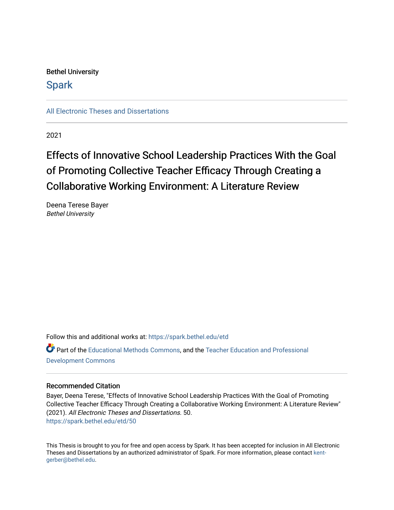# Bethel University

# **Spark**

[All Electronic Theses and Dissertations](https://spark.bethel.edu/etd) 

2021

# Effects of Innovative School Leadership Practices With the Goal of Promoting Collective Teacher Efficacy Through Creating a Collaborative Working Environment: A Literature Review

Deena Terese Bayer Bethel University

Follow this and additional works at: [https://spark.bethel.edu/etd](https://spark.bethel.edu/etd?utm_source=spark.bethel.edu%2Fetd%2F50&utm_medium=PDF&utm_campaign=PDFCoverPages)

Part of the [Educational Methods Commons,](http://network.bepress.com/hgg/discipline/1227?utm_source=spark.bethel.edu%2Fetd%2F50&utm_medium=PDF&utm_campaign=PDFCoverPages) and the [Teacher Education and Professional](http://network.bepress.com/hgg/discipline/803?utm_source=spark.bethel.edu%2Fetd%2F50&utm_medium=PDF&utm_campaign=PDFCoverPages)  [Development Commons](http://network.bepress.com/hgg/discipline/803?utm_source=spark.bethel.edu%2Fetd%2F50&utm_medium=PDF&utm_campaign=PDFCoverPages) 

# Recommended Citation

Bayer, Deena Terese, "Effects of Innovative School Leadership Practices With the Goal of Promoting Collective Teacher Efficacy Through Creating a Collaborative Working Environment: A Literature Review" (2021). All Electronic Theses and Dissertations. 50. [https://spark.bethel.edu/etd/50](https://spark.bethel.edu/etd/50?utm_source=spark.bethel.edu%2Fetd%2F50&utm_medium=PDF&utm_campaign=PDFCoverPages) 

This Thesis is brought to you for free and open access by Spark. It has been accepted for inclusion in All Electronic Theses and Dissertations by an authorized administrator of Spark. For more information, please contact [kent](mailto:kent-gerber@bethel.edu)[gerber@bethel.edu.](mailto:kent-gerber@bethel.edu)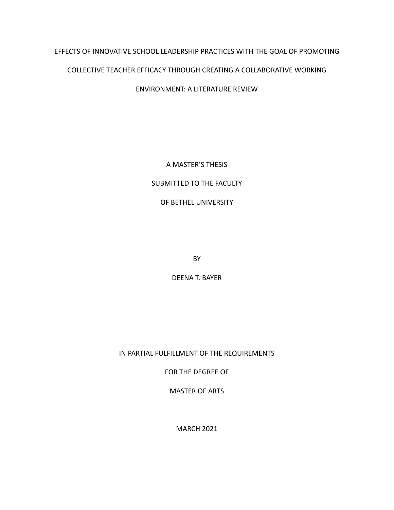# EFFECTS OF INNOVATIVE SCHOOL LEADERSHIP PRACTICES WITH THE GOAL OF PROMOTING

# COLLECTIVE TEACHER EFFICACY THROUGH CREATING A COLLABORATIVE WORKING

ENVIRONMENT: A LITERATURE REVIEW

A MASTER'S THESIS

# SUBMITTED TO THE FACULTY

# OF BETHEL UNIVERSITY

BY

DEENA T. BAYER

IN PARTIAL FULFILLMENT OF THE REQUIREMENTS

FOR THE DEGREE OF

MASTER OF ARTS

MARCH 2021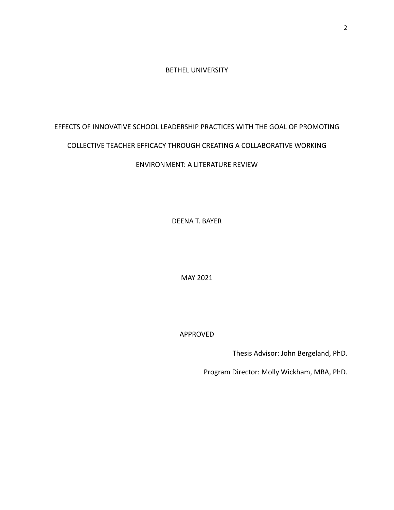# BETHEL UNIVERSITY

# EFFECTS OF INNOVATIVE SCHOOL LEADERSHIP PRACTICES WITH THE GOAL OF PROMOTING

# COLLECTIVE TEACHER EFFICACY THROUGH CREATING A COLLABORATIVE WORKING

# ENVIRONMENT: A LITERATURE REVIEW

DEENA T. BAYER

MAY 2021

APPROVED

Thesis Advisor: John Bergeland, PhD.

Program Director: Molly Wickham, MBA, PhD.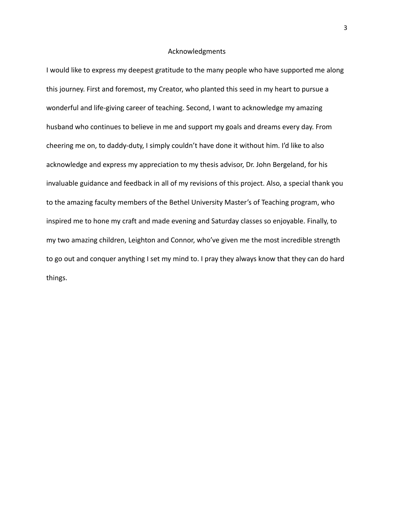# Acknowledgments

I would like to express my deepest gratitude to the many people who have supported me along this journey. First and foremost, my Creator, who planted this seed in my heart to pursue a wonderful and life-giving career of teaching. Second, I want to acknowledge my amazing husband who continues to believe in me and support my goals and dreams every day. From cheering me on, to daddy-duty, I simply couldn't have done it without him. I'd like to also acknowledge and express my appreciation to my thesis advisor, Dr. John Bergeland, for his invaluable guidance and feedback in all of my revisions of this project. Also, a special thank you to the amazing faculty members of the Bethel University Master's of Teaching program, who inspired me to hone my craft and made evening and Saturday classes so enjoyable. Finally, to my two amazing children, Leighton and Connor, who've given me the most incredible strength to go out and conquer anything I set my mind to. I pray they always know that they can do hard things.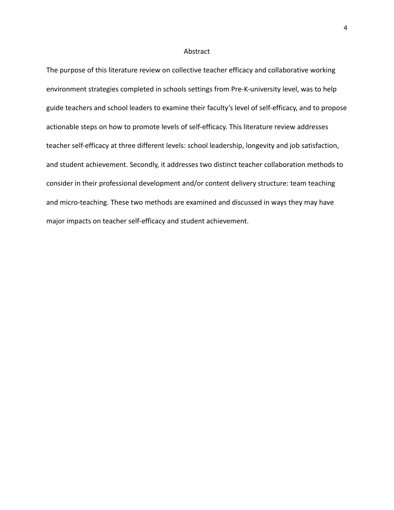### Abstract

The purpose of this literature review on collective teacher efficacy and collaborative working environment strategies completed in schools settings from Pre-K-university level, was to help guide teachers and school leaders to examine their faculty's level of self-efficacy, and to propose actionable steps on how to promote levels of self-efficacy. This literature review addresses teacher self-efficacy at three different levels: school leadership, longevity and job satisfaction, and student achievement. Secondly, it addresses two distinct teacher collaboration methods to consider in their professional development and/or content delivery structure: team teaching and micro-teaching. These two methods are examined and discussed in ways they may have major impacts on teacher self-efficacy and student achievement.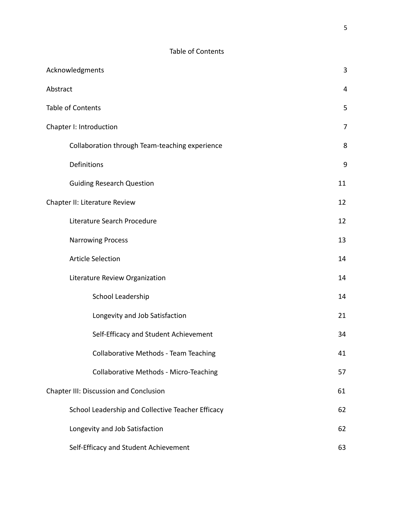| Acknowledgments                                   |    |
|---------------------------------------------------|----|
| Abstract                                          |    |
| <b>Table of Contents</b>                          |    |
| Chapter I: Introduction                           |    |
| Collaboration through Team-teaching experience    | 8  |
| Definitions                                       | 9  |
| <b>Guiding Research Question</b>                  | 11 |
| Chapter II: Literature Review                     |    |
| Literature Search Procedure                       | 12 |
| <b>Narrowing Process</b>                          | 13 |
| <b>Article Selection</b>                          | 14 |
| Literature Review Organization                    | 14 |
| School Leadership                                 | 14 |
| Longevity and Job Satisfaction                    | 21 |
| Self-Efficacy and Student Achievement             | 34 |
| Collaborative Methods - Team Teaching             | 41 |
| <b>Collaborative Methods - Micro-Teaching</b>     | 57 |
| <b>Chapter III: Discussion and Conclusion</b>     |    |
| School Leadership and Collective Teacher Efficacy | 62 |
| Longevity and Job Satisfaction                    | 62 |
| Self-Efficacy and Student Achievement             | 63 |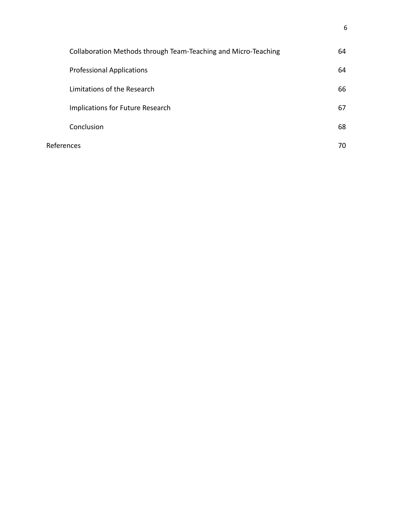|            | Collaboration Methods through Team-Teaching and Micro-Teaching | 64 |
|------------|----------------------------------------------------------------|----|
|            | <b>Professional Applications</b>                               | 64 |
|            | Limitations of the Research                                    | 66 |
|            | Implications for Future Research                               | 67 |
|            | Conclusion                                                     | 68 |
| References |                                                                | 70 |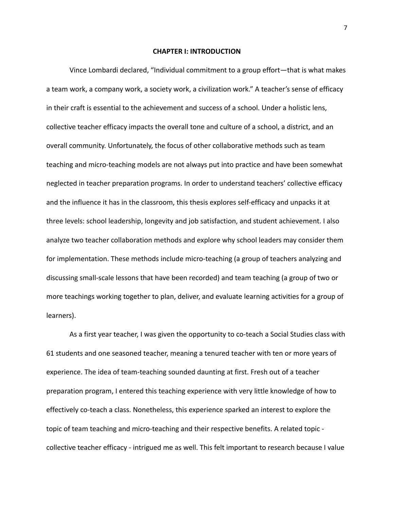#### **CHAPTER I: INTRODUCTION**

Vince Lombardi declared, "Individual commitment to a group effort—that is what makes a team work, a company work, a society work, a civilization work." A teacher's sense of efficacy in their craft is essential to the achievement and success of a school. Under a holistic lens, collective teacher efficacy impacts the overall tone and culture of a school, a district, and an overall community. Unfortunately, the focus of other collaborative methods such as team teaching and micro-teaching models are not always put into practice and have been somewhat neglected in teacher preparation programs. In order to understand teachers' collective efficacy and the influence it has in the classroom, this thesis explores self-efficacy and unpacks it at three levels: school leadership, longevity and job satisfaction, and student achievement. I also analyze two teacher collaboration methods and explore why school leaders may consider them for implementation. These methods include micro-teaching (a group of teachers analyzing and discussing small-scale lessons that have been recorded) and team teaching (a group of two or more teachings working together to plan, deliver, and evaluate learning activities for a group of learners).

As a first year teacher, I was given the opportunity to co-teach a Social Studies class with 61 students and one seasoned teacher, meaning a tenured teacher with ten or more years of experience. The idea of team-teaching sounded daunting at first. Fresh out of a teacher preparation program, I entered this teaching experience with very little knowledge of how to effectively co-teach a class. Nonetheless, this experience sparked an interest to explore the topic of team teaching and micro-teaching and their respective benefits. A related topic collective teacher efficacy - intrigued me as well. This felt important to research because I value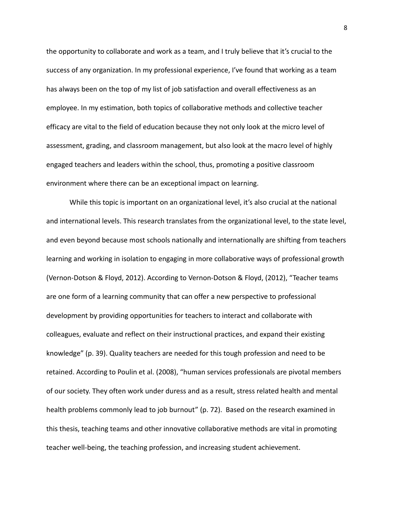the opportunity to collaborate and work as a team, and I truly believe that it's crucial to the success of any organization. In my professional experience, I've found that working as a team has always been on the top of my list of job satisfaction and overall effectiveness as an employee. In my estimation, both topics of collaborative methods and collective teacher efficacy are vital to the field of education because they not only look at the micro level of assessment, grading, and classroom management, but also look at the macro level of highly engaged teachers and leaders within the school, thus, promoting a positive classroom environment where there can be an exceptional impact on learning.

While this topic is important on an organizational level, it's also crucial at the national and international levels. This research translates from the organizational level, to the state level, and even beyond because most schools nationally and internationally are shifting from teachers learning and working in isolation to engaging in more collaborative ways of professional growth (Vernon-Dotson & Floyd, 2012). According to Vernon-Dotson & Floyd, (2012), "Teacher teams are one form of a learning community that can offer a new perspective to professional development by providing opportunities for teachers to interact and collaborate with colleagues, evaluate and reflect on their instructional practices, and expand their existing knowledge" (p. 39). Quality teachers are needed for this tough profession and need to be retained. According to Poulin et al. (2008), "human services professionals are pivotal members of our society. They often work under duress and as a result, stress related health and mental health problems commonly lead to job burnout" (p. 72). Based on the research examined in this thesis, teaching teams and other innovative collaborative methods are vital in promoting teacher well-being, the teaching profession, and increasing student achievement.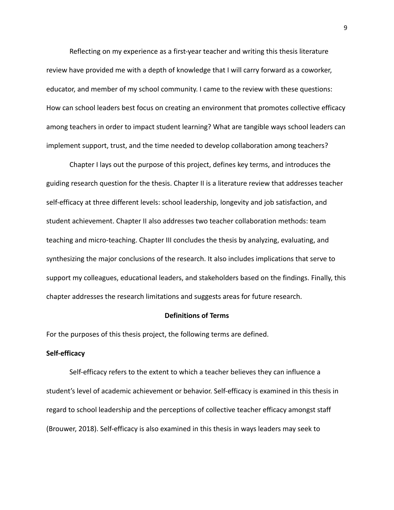Reflecting on my experience as a first-year teacher and writing this thesis literature review have provided me with a depth of knowledge that I will carry forward as a coworker, educator, and member of my school community. I came to the review with these questions: How can school leaders best focus on creating an environment that promotes collective efficacy among teachers in order to impact student learning? What are tangible ways school leaders can implement support, trust, and the time needed to develop collaboration among teachers?

Chapter I lays out the purpose of this project, defines key terms, and introduces the guiding research question for the thesis. Chapter II is a literature review that addresses teacher self-efficacy at three different levels: school leadership, longevity and job satisfaction, and student achievement. Chapter II also addresses two teacher collaboration methods: team teaching and micro-teaching. Chapter III concludes the thesis by analyzing, evaluating, and synthesizing the major conclusions of the research. It also includes implications that serve to support my colleagues, educational leaders, and stakeholders based on the findings. Finally, this chapter addresses the research limitations and suggests areas for future research.

# **Definitions of Terms**

For the purposes of this thesis project, the following terms are defined.

#### **Self-efficacy**

Self-efficacy refers to the extent to which a teacher believes they can influence a student's level of academic achievement or behavior. Self-efficacy is examined in this thesis in regard to school leadership and the perceptions of collective teacher efficacy amongst staff (Brouwer, 2018). Self-efficacy is also examined in this thesis in ways leaders may seek to

9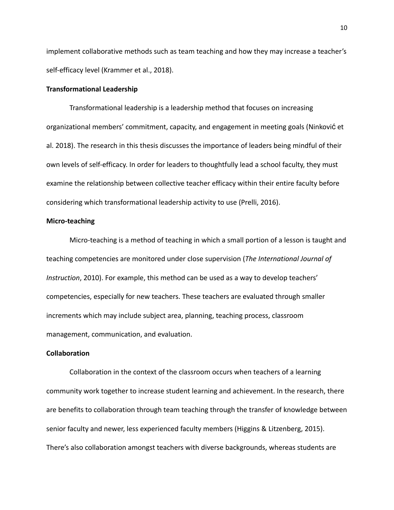implement collaborative methods such as team teaching and how they may increase a teacher's self-efficacy level (Krammer et al., 2018).

# **Transformational Leadership**

Transformational leadership is a leadership method that focuses on increasing organizational members' commitment, capacity, and engagement in meeting goals (Ninković et al. 2018). The research in this thesis discusses the importance of leaders being mindful of their own levels of self-efficacy. In order for leaders to thoughtfully lead a school faculty, they must examine the relationship between collective teacher efficacy within their entire faculty before considering which transformational leadership activity to use (Prelli, 2016).

#### **Micro-teaching**

Micro-teaching is a method of teaching in which a small portion of a lesson is taught and teaching competencies are monitored under close supervision (*The International Journal of Instruction*, 2010). For example, this method can be used as a way to develop teachers' competencies, especially for new teachers. These teachers are evaluated through smaller increments which may include subject area, planning, teaching process, classroom management, communication, and evaluation.

### **Collaboration**

Collaboration in the context of the classroom occurs when teachers of a learning community work together to increase student learning and achievement. In the research, there are benefits to collaboration through team teaching through the transfer of knowledge between senior faculty and newer, less experienced faculty members (Higgins & Litzenberg, 2015). There's also collaboration amongst teachers with diverse backgrounds, whereas students are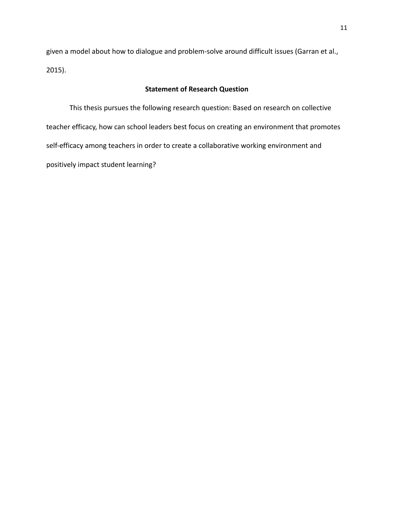given a model about how to dialogue and problem-solve around difficult issues (Garran et al., 2015).

# **Statement of Research Question**

This thesis pursues the following research question: Based on research on collective teacher efficacy, how can school leaders best focus on creating an environment that promotes self-efficacy among teachers in order to create a collaborative working environment and positively impact student learning?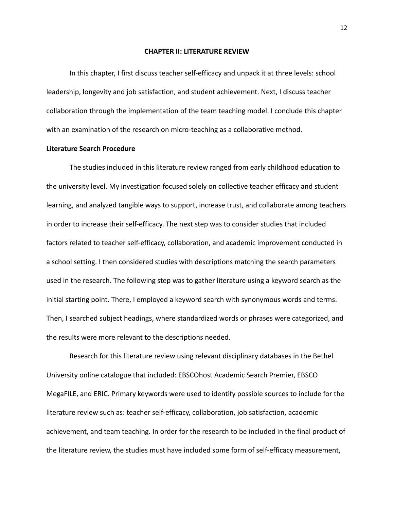#### **CHAPTER II: LITERATURE REVIEW**

In this chapter, I first discuss teacher self-efficacy and unpack it at three levels: school leadership, longevity and job satisfaction, and student achievement. Next, I discuss teacher collaboration through the implementation of the team teaching model. I conclude this chapter with an examination of the research on micro-teaching as a collaborative method.

# **Literature Search Procedure**

The studies included in this literature review ranged from early childhood education to the university level. My investigation focused solely on collective teacher efficacy and student learning, and analyzed tangible ways to support, increase trust, and collaborate among teachers in order to increase their self-efficacy. The next step was to consider studies that included factors related to teacher self-efficacy, collaboration, and academic improvement conducted in a school setting. I then considered studies with descriptions matching the search parameters used in the research. The following step was to gather literature using a keyword search as the initial starting point. There, I employed a keyword search with synonymous words and terms. Then, I searched subject headings, where standardized words or phrases were categorized, and the results were more relevant to the descriptions needed.

Research for this literature review using relevant disciplinary databases in the Bethel University online catalogue that included: EBSCOhost Academic Search Premier, EBSCO MegaFILE, and ERIC. Primary keywords were used to identify possible sources to include for the literature review such as: teacher self-efficacy, collaboration, job satisfaction, academic achievement, and team teaching. In order for the research to be included in the final product of the literature review, the studies must have included some form of self-efficacy measurement,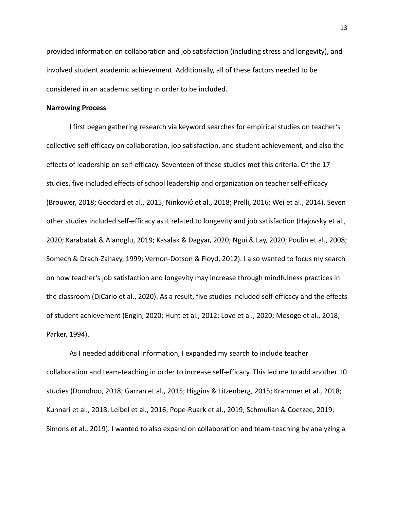provided information on collaboration and job satisfaction (including stress and longevity), and involved student academic achievement. Additionally, all of these factors needed to be considered in an academic setting in order to be included.

### **Narrowing Process**

I first began gathering research via keyword searches for empirical studies on teacher's collective self-efficacy on collaboration, job satisfaction, and student achievement, and also the effects of leadership on self-efficacy. Seventeen of these studies met this criteria. Of the 17 studies, five included effects of school leadership and organization on teacher self-efficacy (Brouwer, 2018; Goddard et al., 2015; Ninković et al., 2018; Prelli, 2016; Wei et al., 2014). Seven other studies included self-efficacy as it related to longevity and job satisfaction (Hajovsky et al., 2020; Karabatak & Alanoglu, 2019; Kasalak & Dagyar, 2020; Ngui & Lay, 2020; Poulin et al., 2008; Somech & Drach-Zahavy, 1999; Vernon-Dotson & Floyd, 2012). I also wanted to focus my search on how teacher's job satisfaction and longevity may increase through mindfulness practices in the classroom (DiCarlo et al., 2020). As a result, five studies included self-efficacy and the effects of student achievement (Engin, 2020; Hunt et al., 2012; Love et al., 2020; Mosoge et al., 2018; Parker, 1994).

As I needed additional information, I expanded my search to include teacher collaboration and team-teaching in order to increase self-efficacy. This led me to add another 10 studies (Donohoo, 2018; Garran et al., 2015; Higgins & Litzenberg, 2015; Krammer et al., 2018; Kunnari et al., 2018; Leibel et al., 2016; Pope-Ruark et al., 2019; Schmulian & Coetzee, 2019; Simons et al., 2019). I wanted to also expand on collaboration and team-teaching by analyzing a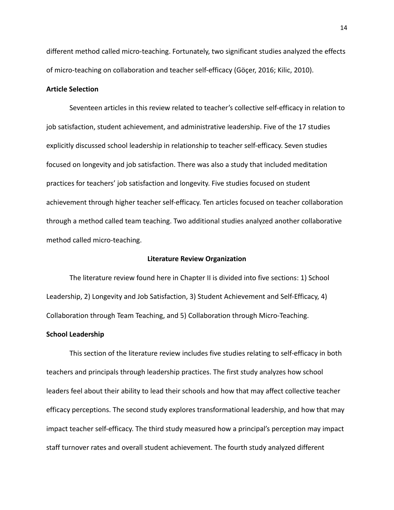different method called micro-teaching. Fortunately, two significant studies analyzed the effects of micro-teaching on collaboration and teacher self-efficacy (Göçer, 2016; Kilic, 2010).

# **Article Selection**

Seventeen articles in this review related to teacher's collective self-efficacy in relation to job satisfaction, student achievement, and administrative leadership. Five of the 17 studies explicitly discussed school leadership in relationship to teacher self-efficacy. Seven studies focused on longevity and job satisfaction. There was also a study that included meditation practices for teachers' job satisfaction and longevity. Five studies focused on student achievement through higher teacher self-efficacy. Ten articles focused on teacher collaboration through a method called team teaching. Two additional studies analyzed another collaborative method called micro-teaching.

# **Literature Review Organization**

The literature review found here in Chapter II is divided into five sections: 1) School Leadership, 2) Longevity and Job Satisfaction, 3) Student Achievement and Self-Efficacy, 4) Collaboration through Team Teaching, and 5) Collaboration through Micro-Teaching.

### **School Leadership**

This section of the literature review includes five studies relating to self-efficacy in both teachers and principals through leadership practices. The first study analyzes how school leaders feel about their ability to lead their schools and how that may affect collective teacher efficacy perceptions. The second study explores transformational leadership, and how that may impact teacher self-efficacy. The third study measured how a principal's perception may impact staff turnover rates and overall student achievement. The fourth study analyzed different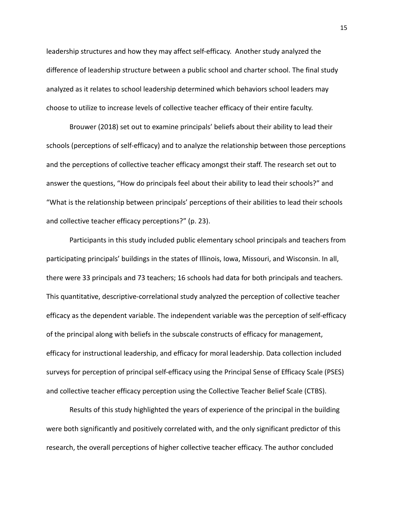leadership structures and how they may affect self-efficacy. Another study analyzed the difference of leadership structure between a public school and charter school. The final study analyzed as it relates to school leadership determined which behaviors school leaders may choose to utilize to increase levels of collective teacher efficacy of their entire faculty.

Brouwer (2018) set out to examine principals' beliefs about their ability to lead their schools (perceptions of self-efficacy) and to analyze the relationship between those perceptions and the perceptions of collective teacher efficacy amongst their staff. The research set out to answer the questions, "How do principals feel about their ability to lead their schools?" and "What is the relationship between principals' perceptions of their abilities to lead their schools and collective teacher efficacy perceptions?" (p. 23).

Participants in this study included public elementary school principals and teachers from participating principals' buildings in the states of Illinois, Iowa, Missouri, and Wisconsin. In all, there were 33 principals and 73 teachers; 16 schools had data for both principals and teachers. This quantitative, descriptive-correlational study analyzed the perception of collective teacher efficacy as the dependent variable. The independent variable was the perception of self-efficacy of the principal along with beliefs in the subscale constructs of efficacy for management, efficacy for instructional leadership, and efficacy for moral leadership. Data collection included surveys for perception of principal self-efficacy using the Principal Sense of Efficacy Scale (PSES) and collective teacher efficacy perception using the Collective Teacher Belief Scale (CTBS).

Results of this study highlighted the years of experience of the principal in the building were both significantly and positively correlated with, and the only significant predictor of this research, the overall perceptions of higher collective teacher efficacy. The author concluded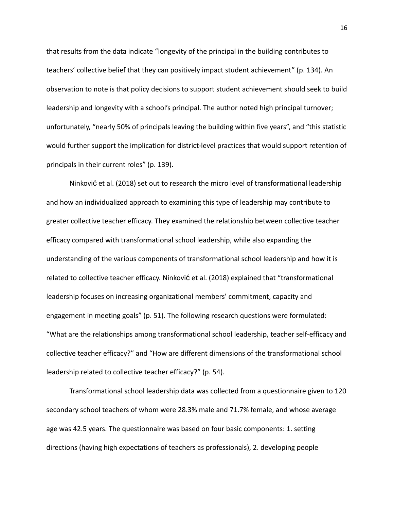that results from the data indicate "longevity of the principal in the building contributes to teachers' collective belief that they can positively impact student achievement" (p. 134). An observation to note is that policy decisions to support student achievement should seek to build leadership and longevity with a school's principal. The author noted high principal turnover; unfortunately, "nearly 50% of principals leaving the building within five years", and "this statistic would further support the implication for district-level practices that would support retention of principals in their current roles" (p. 139).

Ninković et al. (2018) set out to research the micro level of transformational leadership and how an individualized approach to examining this type of leadership may contribute to greater collective teacher efficacy. They examined the relationship between collective teacher efficacy compared with transformational school leadership, while also expanding the understanding of the various components of transformational school leadership and how it is related to collective teacher efficacy. Ninković et al. (2018) explained that "transformational leadership focuses on increasing organizational members' commitment, capacity and engagement in meeting goals" (p. 51). The following research questions were formulated: "What are the relationships among transformational school leadership, teacher self-efficacy and collective teacher efficacy?" and "How are different dimensions of the transformational school leadership related to collective teacher efficacy?" (p. 54).

Transformational school leadership data was collected from a questionnaire given to 120 secondary school teachers of whom were 28.3% male and 71.7% female, and whose average age was 42.5 years. The questionnaire was based on four basic components: 1. setting directions (having high expectations of teachers as professionals), 2. developing people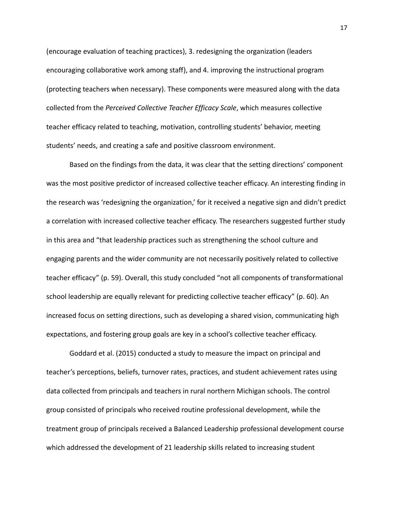(encourage evaluation of teaching practices), 3. redesigning the organization (leaders encouraging collaborative work among staff), and 4. improving the instructional program (protecting teachers when necessary). These components were measured along with the data collected from the *Perceived Collective Teacher Efficacy Scale*, which measures collective teacher efficacy related to teaching, motivation, controlling students' behavior, meeting students' needs, and creating a safe and positive classroom environment.

Based on the findings from the data, it was clear that the setting directions' component was the most positive predictor of increased collective teacher efficacy. An interesting finding in the research was 'redesigning the organization,' for it received a negative sign and didn't predict a correlation with increased collective teacher efficacy. The researchers suggested further study in this area and "that leadership practices such as strengthening the school culture and engaging parents and the wider community are not necessarily positively related to collective teacher efficacy" (p. 59). Overall, this study concluded "not all components of transformational school leadership are equally relevant for predicting collective teacher efficacy" (p. 60). An increased focus on setting directions, such as developing a shared vision, communicating high expectations, and fostering group goals are key in a school's collective teacher efficacy.

Goddard et al. (2015) conducted a study to measure the impact on principal and teacher's perceptions, beliefs, turnover rates, practices, and student achievement rates using data collected from principals and teachers in rural northern Michigan schools. The control group consisted of principals who received routine professional development, while the treatment group of principals received a Balanced Leadership professional development course which addressed the development of 21 leadership skills related to increasing student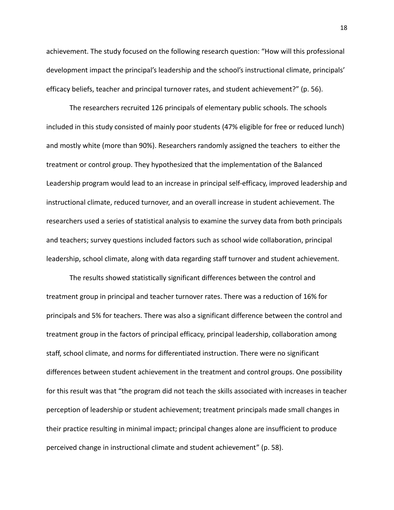achievement. The study focused on the following research question: "How will this professional development impact the principal's leadership and the school's instructional climate, principals' efficacy beliefs, teacher and principal turnover rates, and student achievement?" (p. 56).

The researchers recruited 126 principals of elementary public schools. The schools included in this study consisted of mainly poor students (47% eligible for free or reduced lunch) and mostly white (more than 90%). Researchers randomly assigned the teachers to either the treatment or control group. They hypothesized that the implementation of the Balanced Leadership program would lead to an increase in principal self-efficacy, improved leadership and instructional climate, reduced turnover, and an overall increase in student achievement. The researchers used a series of statistical analysis to examine the survey data from both principals and teachers; survey questions included factors such as school wide collaboration, principal leadership, school climate, along with data regarding staff turnover and student achievement.

The results showed statistically significant differences between the control and treatment group in principal and teacher turnover rates. There was a reduction of 16% for principals and 5% for teachers. There was also a significant difference between the control and treatment group in the factors of principal efficacy, principal leadership, collaboration among staff, school climate, and norms for differentiated instruction. There were no significant differences between student achievement in the treatment and control groups. One possibility for this result was that "the program did not teach the skills associated with increases in teacher perception of leadership or student achievement; treatment principals made small changes in their practice resulting in minimal impact; principal changes alone are insufficient to produce perceived change in instructional climate and student achievement" (p. 58).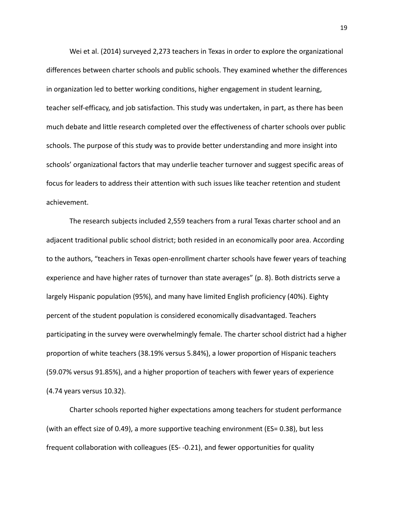Wei et al. (2014) surveyed 2,273 teachers in Texas in order to explore the organizational differences between charter schools and public schools. They examined whether the differences in organization led to better working conditions, higher engagement in student learning, teacher self-efficacy, and job satisfaction. This study was undertaken, in part, as there has been much debate and little research completed over the effectiveness of charter schools over public schools. The purpose of this study was to provide better understanding and more insight into schools' organizational factors that may underlie teacher turnover and suggest specific areas of focus for leaders to address their attention with such issues like teacher retention and student achievement.

The research subjects included 2,559 teachers from a rural Texas charter school and an adjacent traditional public school district; both resided in an economically poor area. According to the authors, "teachers in Texas open-enrollment charter schools have fewer years of teaching experience and have higher rates of turnover than state averages" (p. 8). Both districts serve a largely Hispanic population (95%), and many have limited English proficiency (40%). Eighty percent of the student population is considered economically disadvantaged. Teachers participating in the survey were overwhelmingly female. The charter school district had a higher proportion of white teachers (38.19% versus 5.84%), a lower proportion of Hispanic teachers (59.07% versus 91.85%), and a higher proportion of teachers with fewer years of experience (4.74 years versus 10.32).

Charter schools reported higher expectations among teachers for student performance (with an effect size of 0.49), a more supportive teaching environment (ES= 0.38), but less frequent collaboration with colleagues (ES- -0.21), and fewer opportunities for quality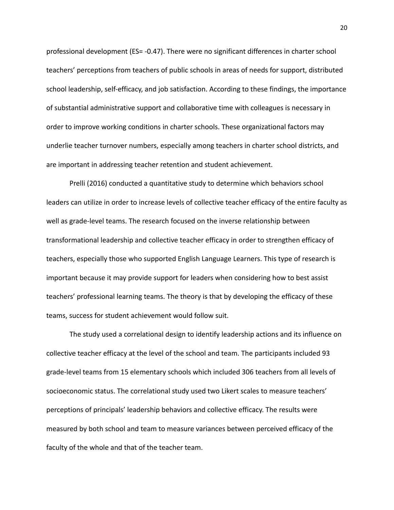professional development (ES= -0.47). There were no significant differences in charter school teachers' perceptions from teachers of public schools in areas of needs for support, distributed school leadership, self-efficacy, and job satisfaction. According to these findings, the importance of substantial administrative support and collaborative time with colleagues is necessary in order to improve working conditions in charter schools. These organizational factors may underlie teacher turnover numbers, especially among teachers in charter school districts, and are important in addressing teacher retention and student achievement.

Prelli (2016) conducted a quantitative study to determine which behaviors school leaders can utilize in order to increase levels of collective teacher efficacy of the entire faculty as well as grade-level teams. The research focused on the inverse relationship between transformational leadership and collective teacher efficacy in order to strengthen efficacy of teachers, especially those who supported English Language Learners. This type of research is important because it may provide support for leaders when considering how to best assist teachers' professional learning teams. The theory is that by developing the efficacy of these teams, success for student achievement would follow suit.

The study used a correlational design to identify leadership actions and its influence on collective teacher efficacy at the level of the school and team. The participants included 93 grade-level teams from 15 elementary schools which included 306 teachers from all levels of socioeconomic status. The correlational study used two Likert scales to measure teachers' perceptions of principals' leadership behaviors and collective efficacy. The results were measured by both school and team to measure variances between perceived efficacy of the faculty of the whole and that of the teacher team.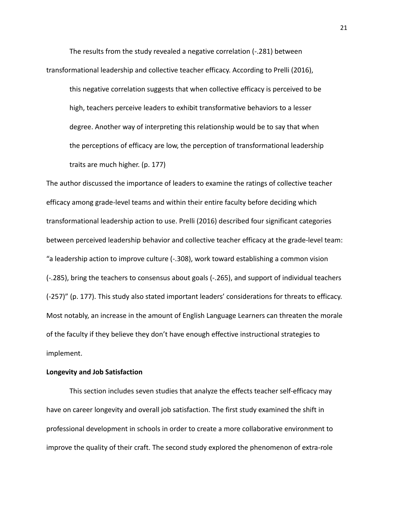The results from the study revealed a negative correlation (-.281) between transformational leadership and collective teacher efficacy. According to Prelli (2016),

this negative correlation suggests that when collective efficacy is perceived to be high, teachers perceive leaders to exhibit transformative behaviors to a lesser degree. Another way of interpreting this relationship would be to say that when the perceptions of efficacy are low, the perception of transformational leadership traits are much higher. (p. 177)

The author discussed the importance of leaders to examine the ratings of collective teacher efficacy among grade-level teams and within their entire faculty before deciding which transformational leadership action to use. Prelli (2016) described four significant categories between perceived leadership behavior and collective teacher efficacy at the grade-level team: "a leadership action to improve culture (-.308), work toward establishing a common vision (-.285), bring the teachers to consensus about goals (-.265), and support of individual teachers (-257)" (p. 177). This study also stated important leaders' considerations for threats to efficacy. Most notably, an increase in the amount of English Language Learners can threaten the morale of the faculty if they believe they don't have enough effective instructional strategies to implement.

## **Longevity and Job Satisfaction**

This section includes seven studies that analyze the effects teacher self-efficacy may have on career longevity and overall job satisfaction. The first study examined the shift in professional development in schools in order to create a more collaborative environment to improve the quality of their craft. The second study explored the phenomenon of extra-role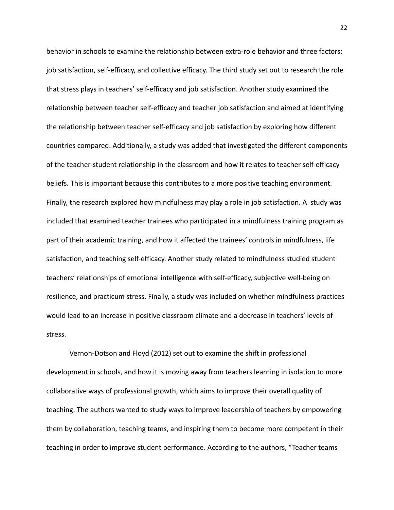behavior in schools to examine the relationship between extra-role behavior and three factors: job satisfaction, self-efficacy, and collective efficacy. The third study set out to research the role that stress plays in teachers' self-efficacy and job satisfaction. Another study examined the relationship between teacher self-efficacy and teacher job satisfaction and aimed at identifying the relationship between teacher self-efficacy and job satisfaction by exploring how different countries compared. Additionally, a study was added that investigated the different components of the teacher-student relationship in the classroom and how it relates to teacher self-efficacy beliefs. This is important because this contributes to a more positive teaching environment. Finally, the research explored how mindfulness may play a role in job satisfaction. A study was included that examined teacher trainees who participated in a mindfulness training program as part of their academic training, and how it affected the trainees' controls in mindfulness, life satisfaction, and teaching self-efficacy. Another study related to mindfulness studied student teachers' relationships of emotional intelligence with self-efficacy, subjective well-being on resilience, and practicum stress. Finally, a study was included on whether mindfulness practices would lead to an increase in positive classroom climate and a decrease in teachers' levels of stress.

Vernon-Dotson and Floyd (2012) set out to examine the shift in professional development in schools, and how it is moving away from teachers learning in isolation to more collaborative ways of professional growth, which aims to improve their overall quality of teaching. The authors wanted to study ways to improve leadership of teachers by empowering them by collaboration, teaching teams, and inspiring them to become more competent in their teaching in order to improve student performance. According to the authors, "Teacher teams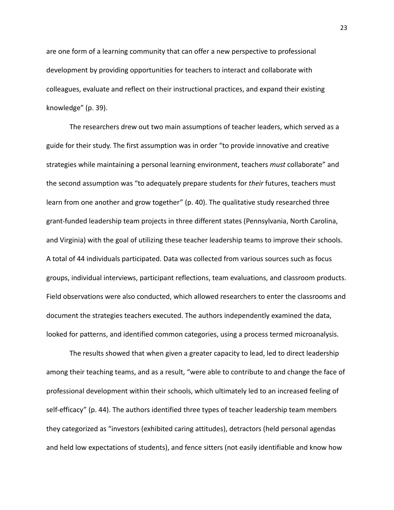are one form of a learning community that can offer a new perspective to professional development by providing opportunities for teachers to interact and collaborate with colleagues, evaluate and reflect on their instructional practices, and expand their existing knowledge" (p. 39).

The researchers drew out two main assumptions of teacher leaders, which served as a guide for their study. The first assumption was in order "to provide innovative and creative strategies while maintaining a personal learning environment, teachers *must* collaborate" and the second assumption was "to adequately prepare students for *their* futures, teachers must learn from one another and grow together" (p. 40). The qualitative study researched three grant-funded leadership team projects in three different states (Pennsylvania, North Carolina, and Virginia) with the goal of utilizing these teacher leadership teams to improve their schools. A total of 44 individuals participated. Data was collected from various sources such as focus groups, individual interviews, participant reflections, team evaluations, and classroom products. Field observations were also conducted, which allowed researchers to enter the classrooms and document the strategies teachers executed. The authors independently examined the data, looked for patterns, and identified common categories, using a process termed microanalysis.

The results showed that when given a greater capacity to lead, led to direct leadership among their teaching teams, and as a result, "were able to contribute to and change the face of professional development within their schools, which ultimately led to an increased feeling of self-efficacy" (p. 44). The authors identified three types of teacher leadership team members they categorized as "investors (exhibited caring attitudes), detractors (held personal agendas and held low expectations of students), and fence sitters (not easily identifiable and know how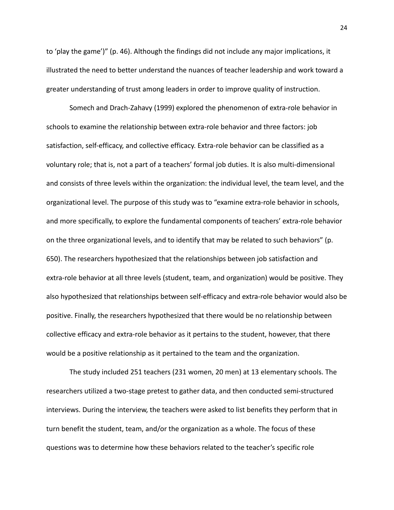to 'play the game')" (p. 46). Although the findings did not include any major implications, it illustrated the need to better understand the nuances of teacher leadership and work toward a greater understanding of trust among leaders in order to improve quality of instruction.

Somech and Drach-Zahavy (1999) explored the phenomenon of extra-role behavior in schools to examine the relationship between extra-role behavior and three factors: job satisfaction, self-efficacy, and collective efficacy. Extra-role behavior can be classified as a voluntary role; that is, not a part of a teachers' formal job duties. It is also multi-dimensional and consists of three levels within the organization: the individual level, the team level, and the organizational level. The purpose of this study was to "examine extra-role behavior in schools, and more specifically, to explore the fundamental components of teachers' extra-role behavior on the three organizational levels, and to identify that may be related to such behaviors" (p. 650). The researchers hypothesized that the relationships between job satisfaction and extra-role behavior at all three levels (student, team, and organization) would be positive. They also hypothesized that relationships between self-efficacy and extra-role behavior would also be positive. Finally, the researchers hypothesized that there would be no relationship between collective efficacy and extra-role behavior as it pertains to the student, however, that there would be a positive relationship as it pertained to the team and the organization.

The study included 251 teachers (231 women, 20 men) at 13 elementary schools. The researchers utilized a two-stage pretest to gather data, and then conducted semi-structured interviews. During the interview, the teachers were asked to list benefits they perform that in turn benefit the student, team, and/or the organization as a whole. The focus of these questions was to determine how these behaviors related to the teacher's specific role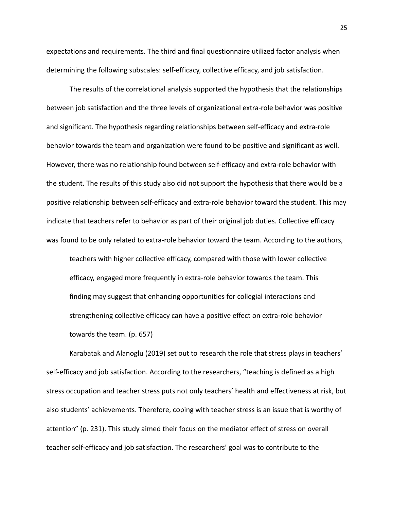expectations and requirements. The third and final questionnaire utilized factor analysis when determining the following subscales: self-efficacy, collective efficacy, and job satisfaction.

The results of the correlational analysis supported the hypothesis that the relationships between job satisfaction and the three levels of organizational extra-role behavior was positive and significant. The hypothesis regarding relationships between self-efficacy and extra-role behavior towards the team and organization were found to be positive and significant as well. However, there was no relationship found between self-efficacy and extra-role behavior with the student. The results of this study also did not support the hypothesis that there would be a positive relationship between self-efficacy and extra-role behavior toward the student. This may indicate that teachers refer to behavior as part of their original job duties. Collective efficacy was found to be only related to extra-role behavior toward the team. According to the authors,

teachers with higher collective efficacy, compared with those with lower collective efficacy, engaged more frequently in extra-role behavior towards the team. This finding may suggest that enhancing opportunities for collegial interactions and strengthening collective efficacy can have a positive effect on extra-role behavior towards the team. (p. 657)

Karabatak and Alanoglu (2019) set out to research the role that stress plays in teachers' self-efficacy and job satisfaction. According to the researchers, "teaching is defined as a high stress occupation and teacher stress puts not only teachers' health and effectiveness at risk, but also students' achievements. Therefore, coping with teacher stress is an issue that is worthy of attention" (p. 231). This study aimed their focus on the mediator effect of stress on overall teacher self-efficacy and job satisfaction. The researchers' goal was to contribute to the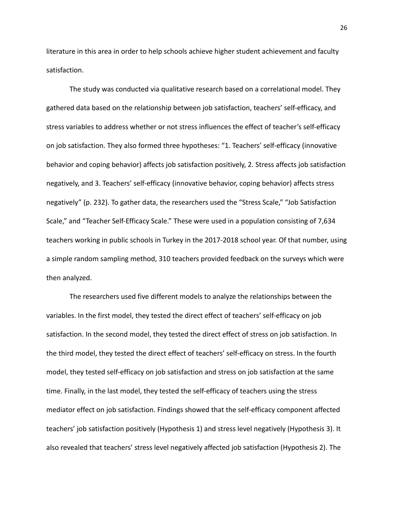literature in this area in order to help schools achieve higher student achievement and faculty satisfaction.

The study was conducted via qualitative research based on a correlational model. They gathered data based on the relationship between job satisfaction, teachers' self-efficacy, and stress variables to address whether or not stress influences the effect of teacher's self-efficacy on job satisfaction. They also formed three hypotheses: "1. Teachers' self-efficacy (innovative behavior and coping behavior) affects job satisfaction positively, 2. Stress affects job satisfaction negatively, and 3. Teachers' self-efficacy (innovative behavior, coping behavior) affects stress negatively" (p. 232). To gather data, the researchers used the "Stress Scale," "Job Satisfaction Scale," and "Teacher Self-Efficacy Scale." These were used in a population consisting of 7,634 teachers working in public schools in Turkey in the 2017-2018 school year. Of that number, using a simple random sampling method, 310 teachers provided feedback on the surveys which were then analyzed.

The researchers used five different models to analyze the relationships between the variables. In the first model, they tested the direct effect of teachers' self-efficacy on job satisfaction. In the second model, they tested the direct effect of stress on job satisfaction. In the third model, they tested the direct effect of teachers' self-efficacy on stress. In the fourth model, they tested self-efficacy on job satisfaction and stress on job satisfaction at the same time. Finally, in the last model, they tested the self-efficacy of teachers using the stress mediator effect on job satisfaction. Findings showed that the self-efficacy component affected teachers' job satisfaction positively (Hypothesis 1) and stress level negatively (Hypothesis 3). It also revealed that teachers' stress level negatively affected job satisfaction (Hypothesis 2). The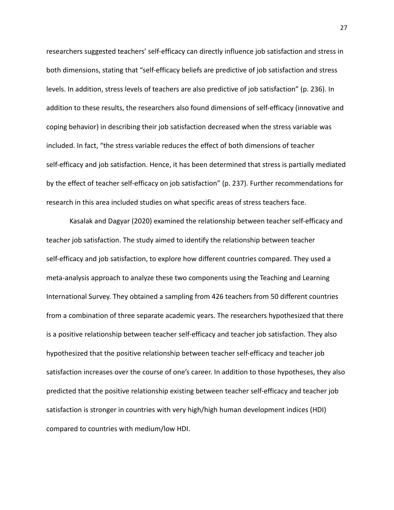researchers suggested teachers' self-efficacy can directly influence job satisfaction and stress in both dimensions, stating that "self-efficacy beliefs are predictive of job satisfaction and stress levels. In addition, stress levels of teachers are also predictive of job satisfaction" (p. 236). In addition to these results, the researchers also found dimensions of self-efficacy (innovative and coping behavior) in describing their job satisfaction decreased when the stress variable was included. In fact, "the stress variable reduces the effect of both dimensions of teacher self-efficacy and job satisfaction. Hence, it has been determined that stress is partially mediated by the effect of teacher self-efficacy on job satisfaction" (p. 237). Further recommendations for research in this area included studies on what specific areas of stress teachers face.

Kasalak and Dagyar (2020) examined the relationship between teacher self-efficacy and teacher job satisfaction. The study aimed to identify the relationship between teacher self-efficacy and job satisfaction, to explore how different countries compared. They used a meta-analysis approach to analyze these two components using the Teaching and Learning International Survey. They obtained a sampling from 426 teachers from 50 different countries from a combination of three separate academic years. The researchers hypothesized that there is a positive relationship between teacher self-efficacy and teacher job satisfaction. They also hypothesized that the positive relationship between teacher self-efficacy and teacher job satisfaction increases over the course of one's career. In addition to those hypotheses, they also predicted that the positive relationship existing between teacher self-efficacy and teacher job satisfaction is stronger in countries with very high/high human development indices (HDI) compared to countries with medium/low HDI.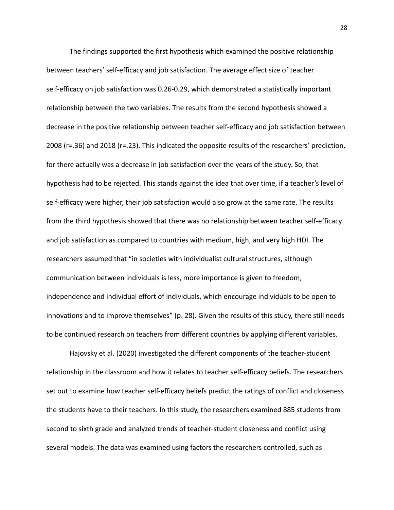The findings supported the first hypothesis which examined the positive relationship between teachers' self-efficacy and job satisfaction. The average effect size of teacher self-efficacy on job satisfaction was 0.26-0.29, which demonstrated a statistically important relationship between the two variables. The results from the second hypothesis showed a decrease in the positive relationship between teacher self-efficacy and job satisfaction between 2008 (r=.36) and 2018 (r=.23). This indicated the opposite results of the researchers' prediction, for there actually was a decrease in job satisfaction over the years of the study. So, that hypothesis had to be rejected. This stands against the idea that over time, if a teacher's level of self-efficacy were higher, their job satisfaction would also grow at the same rate. The results from the third hypothesis showed that there was no relationship between teacher self-efficacy and job satisfaction as compared to countries with medium, high, and very high HDI. The researchers assumed that "in societies with individualist cultural structures, although communication between individuals is less, more importance is given to freedom, independence and individual effort of individuals, which encourage individuals to be open to innovations and to improve themselves" (p. 28). Given the results of this study, there still needs to be continued research on teachers from different countries by applying different variables.

Hajovsky et al. (2020) investigated the different components of the teacher-student relationship in the classroom and how it relates to teacher self-efficacy beliefs. The researchers set out to examine how teacher self-efficacy beliefs predict the ratings of conflict and closeness the students have to their teachers. In this study, the researchers examined 885 students from second to sixth grade and analyzed trends of teacher-student closeness and conflict using several models. The data was examined using factors the researchers controlled, such as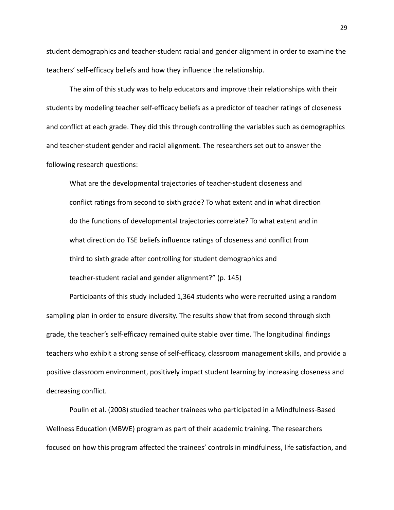student demographics and teacher-student racial and gender alignment in order to examine the teachers' self-efficacy beliefs and how they influence the relationship.

The aim of this study was to help educators and improve their relationships with their students by modeling teacher self-efficacy beliefs as a predictor of teacher ratings of closeness and conflict at each grade. They did this through controlling the variables such as demographics and teacher-student gender and racial alignment. The researchers set out to answer the following research questions:

What are the developmental trajectories of teacher-student closeness and conflict ratings from second to sixth grade? To what extent and in what direction do the functions of developmental trajectories correlate? To what extent and in what direction do TSE beliefs influence ratings of closeness and conflict from third to sixth grade after controlling for student demographics and teacher-student racial and gender alignment?" (p. 145)

Participants of this study included 1,364 students who were recruited using a random sampling plan in order to ensure diversity. The results show that from second through sixth grade, the teacher's self-efficacy remained quite stable over time. The longitudinal findings teachers who exhibit a strong sense of self-efficacy, classroom management skills, and provide a positive classroom environment, positively impact student learning by increasing closeness and decreasing conflict.

Poulin et al. (2008) studied teacher trainees who participated in a Mindfulness-Based Wellness Education (MBWE) program as part of their academic training. The researchers focused on how this program affected the trainees' controls in mindfulness, life satisfaction, and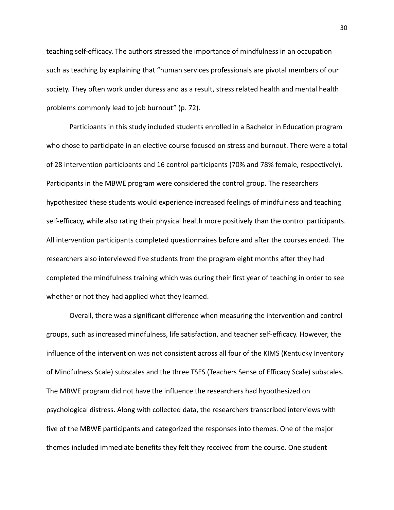teaching self-efficacy. The authors stressed the importance of mindfulness in an occupation such as teaching by explaining that "human services professionals are pivotal members of our society. They often work under duress and as a result, stress related health and mental health problems commonly lead to job burnout" (p. 72).

Participants in this study included students enrolled in a Bachelor in Education program who chose to participate in an elective course focused on stress and burnout. There were a total of 28 intervention participants and 16 control participants (70% and 78% female, respectively). Participants in the MBWE program were considered the control group. The researchers hypothesized these students would experience increased feelings of mindfulness and teaching self-efficacy, while also rating their physical health more positively than the control participants. All intervention participants completed questionnaires before and after the courses ended. The researchers also interviewed five students from the program eight months after they had completed the mindfulness training which was during their first year of teaching in order to see whether or not they had applied what they learned.

Overall, there was a significant difference when measuring the intervention and control groups, such as increased mindfulness, life satisfaction, and teacher self-efficacy. However, the influence of the intervention was not consistent across all four of the KIMS (Kentucky Inventory of Mindfulness Scale) subscales and the three TSES (Teachers Sense of Efficacy Scale) subscales. The MBWE program did not have the influence the researchers had hypothesized on psychological distress. Along with collected data, the researchers transcribed interviews with five of the MBWE participants and categorized the responses into themes. One of the major themes included immediate benefits they felt they received from the course. One student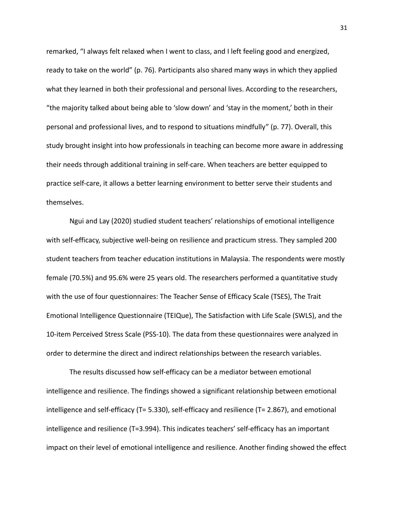remarked, "I always felt relaxed when I went to class, and I left feeling good and energized, ready to take on the world" (p. 76). Participants also shared many ways in which they applied what they learned in both their professional and personal lives. According to the researchers, "the majority talked about being able to 'slow down' and 'stay in the moment,' both in their personal and professional lives, and to respond to situations mindfully" (p. 77). Overall, this study brought insight into how professionals in teaching can become more aware in addressing their needs through additional training in self-care. When teachers are better equipped to practice self-care, it allows a better learning environment to better serve their students and themselves.

Ngui and Lay (2020) studied student teachers' relationships of emotional intelligence with self-efficacy, subjective well-being on resilience and practicum stress. They sampled 200 student teachers from teacher education institutions in Malaysia. The respondents were mostly female (70.5%) and 95.6% were 25 years old. The researchers performed a quantitative study with the use of four questionnaires: The Teacher Sense of Efficacy Scale (TSES), The Trait Emotional Intelligence Questionnaire (TEIQue), The Satisfaction with Life Scale (SWLS), and the 10-item Perceived Stress Scale (PSS-10). The data from these questionnaires were analyzed in order to determine the direct and indirect relationships between the research variables.

The results discussed how self-efficacy can be a mediator between emotional intelligence and resilience. The findings showed a significant relationship between emotional intelligence and self-efficacy (T= 5.330), self-efficacy and resilience (T= 2.867), and emotional intelligence and resilience (T=3.994). This indicates teachers' self-efficacy has an important impact on their level of emotional intelligence and resilience. Another finding showed the effect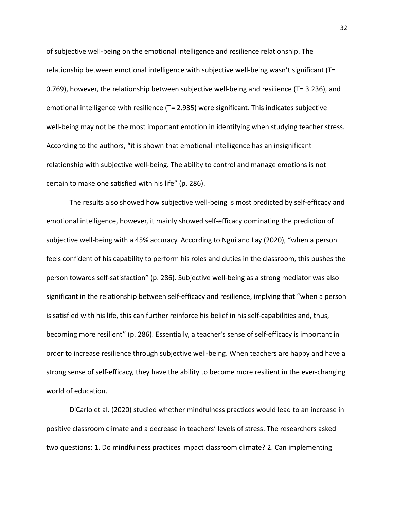of subjective well-being on the emotional intelligence and resilience relationship. The relationship between emotional intelligence with subjective well-being wasn't significant (T= 0.769), however, the relationship between subjective well-being and resilience (T= 3.236), and emotional intelligence with resilience (T= 2.935) were significant. This indicates subjective well-being may not be the most important emotion in identifying when studying teacher stress. According to the authors, "it is shown that emotional intelligence has an insignificant relationship with subjective well-being. The ability to control and manage emotions is not certain to make one satisfied with his life" (p. 286).

The results also showed how subjective well-being is most predicted by self-efficacy and emotional intelligence, however, it mainly showed self-efficacy dominating the prediction of subjective well-being with a 45% accuracy. According to Ngui and Lay (2020), "when a person feels confident of his capability to perform his roles and duties in the classroom, this pushes the person towards self-satisfaction" (p. 286). Subjective well-being as a strong mediator was also significant in the relationship between self-efficacy and resilience, implying that "when a person is satisfied with his life, this can further reinforce his belief in his self-capabilities and, thus, becoming more resilient" (p. 286). Essentially, a teacher's sense of self-efficacy is important in order to increase resilience through subjective well-being. When teachers are happy and have a strong sense of self-efficacy, they have the ability to become more resilient in the ever-changing world of education.

DiCarlo et al. (2020) studied whether mindfulness practices would lead to an increase in positive classroom climate and a decrease in teachers' levels of stress. The researchers asked two questions: 1. Do mindfulness practices impact classroom climate? 2. Can implementing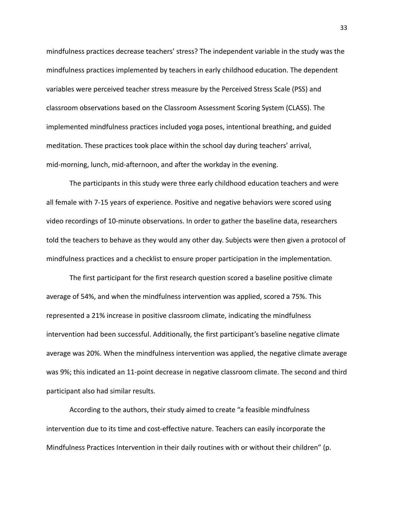mindfulness practices decrease teachers' stress? The independent variable in the study was the mindfulness practices implemented by teachers in early childhood education. The dependent variables were perceived teacher stress measure by the Perceived Stress Scale (PSS) and classroom observations based on the Classroom Assessment Scoring System (CLASS). The implemented mindfulness practices included yoga poses, intentional breathing, and guided meditation. These practices took place within the school day during teachers' arrival, mid-morning, lunch, mid-afternoon, and after the workday in the evening.

The participants in this study were three early childhood education teachers and were all female with 7-15 years of experience. Positive and negative behaviors were scored using video recordings of 10-minute observations. In order to gather the baseline data, researchers told the teachers to behave as they would any other day. Subjects were then given a protocol of mindfulness practices and a checklist to ensure proper participation in the implementation.

The first participant for the first research question scored a baseline positive climate average of 54%, and when the mindfulness intervention was applied, scored a 75%. This represented a 21% increase in positive classroom climate, indicating the mindfulness intervention had been successful. Additionally, the first participant's baseline negative climate average was 20%. When the mindfulness intervention was applied, the negative climate average was 9%; this indicated an 11-point decrease in negative classroom climate. The second and third participant also had similar results.

According to the authors, their study aimed to create "a feasible mindfulness intervention due to its time and cost-effective nature. Teachers can easily incorporate the Mindfulness Practices Intervention in their daily routines with or without their children" (p.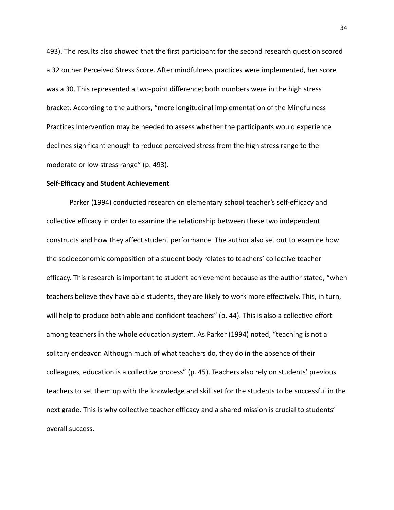493). The results also showed that the first participant for the second research question scored a 32 on her Perceived Stress Score. After mindfulness practices were implemented, her score was a 30. This represented a two-point difference; both numbers were in the high stress bracket. According to the authors, "more longitudinal implementation of the Mindfulness Practices Intervention may be needed to assess whether the participants would experience declines significant enough to reduce perceived stress from the high stress range to the moderate or low stress range" (p. 493).

#### **Self-Efficacy and Student Achievement**

Parker (1994) conducted research on elementary school teacher's self-efficacy and collective efficacy in order to examine the relationship between these two independent constructs and how they affect student performance. The author also set out to examine how the socioeconomic composition of a student body relates to teachers' collective teacher efficacy. This research is important to student achievement because as the author stated, "when teachers believe they have able students, they are likely to work more effectively. This, in turn, will help to produce both able and confident teachers" (p. 44). This is also a collective effort among teachers in the whole education system. As Parker (1994) noted, "teaching is not a solitary endeavor. Although much of what teachers do, they do in the absence of their colleagues, education is a collective process" (p. 45). Teachers also rely on students' previous teachers to set them up with the knowledge and skill set for the students to be successful in the next grade. This is why collective teacher efficacy and a shared mission is crucial to students' overall success.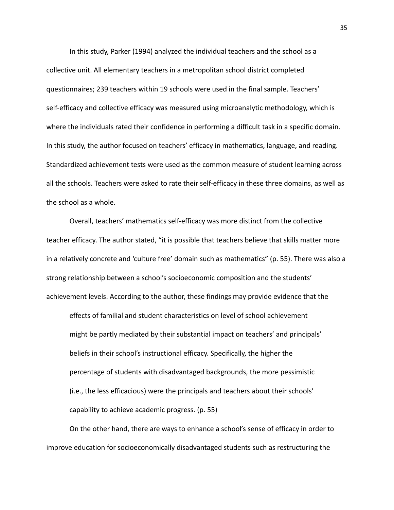In this study, Parker (1994) analyzed the individual teachers and the school as a collective unit. All elementary teachers in a metropolitan school district completed questionnaires; 239 teachers within 19 schools were used in the final sample. Teachers' self-efficacy and collective efficacy was measured using microanalytic methodology, which is where the individuals rated their confidence in performing a difficult task in a specific domain. In this study, the author focused on teachers' efficacy in mathematics, language, and reading. Standardized achievement tests were used as the common measure of student learning across all the schools. Teachers were asked to rate their self-efficacy in these three domains, as well as the school as a whole.

Overall, teachers' mathematics self-efficacy was more distinct from the collective teacher efficacy. The author stated, "it is possible that teachers believe that skills matter more in a relatively concrete and 'culture free' domain such as mathematics" (p. 55). There was also a strong relationship between a school's socioeconomic composition and the students' achievement levels. According to the author, these findings may provide evidence that the

effects of familial and student characteristics on level of school achievement might be partly mediated by their substantial impact on teachers' and principals' beliefs in their school's instructional efficacy. Specifically, the higher the percentage of students with disadvantaged backgrounds, the more pessimistic (i.e., the less efficacious) were the principals and teachers about their schools' capability to achieve academic progress. (p. 55)

On the other hand, there are ways to enhance a school's sense of efficacy in order to improve education for socioeconomically disadvantaged students such as restructuring the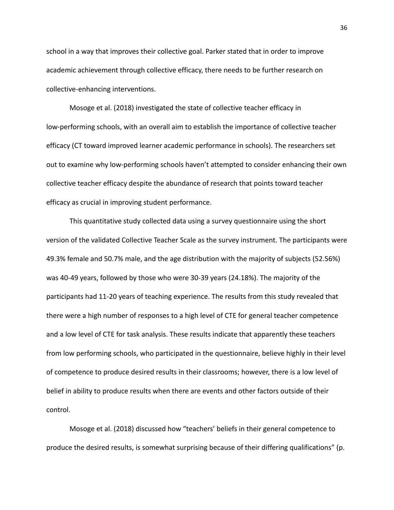school in a way that improves their collective goal. Parker stated that in order to improve academic achievement through collective efficacy, there needs to be further research on collective-enhancing interventions.

Mosoge et al. (2018) investigated the state of collective teacher efficacy in low-performing schools, with an overall aim to establish the importance of collective teacher efficacy (CT toward improved learner academic performance in schools). The researchers set out to examine why low-performing schools haven't attempted to consider enhancing their own collective teacher efficacy despite the abundance of research that points toward teacher efficacy as crucial in improving student performance.

This quantitative study collected data using a survey questionnaire using the short version of the validated Collective Teacher Scale as the survey instrument. The participants were 49.3% female and 50.7% male, and the age distribution with the majority of subjects (52.56%) was 40-49 years, followed by those who were 30-39 years (24.18%). The majority of the participants had 11-20 years of teaching experience. The results from this study revealed that there were a high number of responses to a high level of CTE for general teacher competence and a low level of CTE for task analysis. These results indicate that apparently these teachers from low performing schools, who participated in the questionnaire, believe highly in their level of competence to produce desired results in their classrooms; however, there is a low level of belief in ability to produce results when there are events and other factors outside of their control.

Mosoge et al. (2018) discussed how "teachers' beliefs in their general competence to produce the desired results, is somewhat surprising because of their differing qualifications" (p.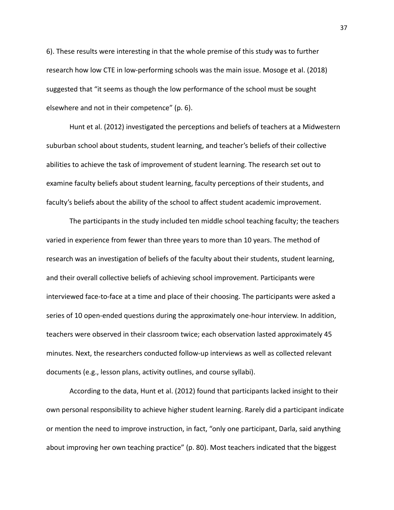6). These results were interesting in that the whole premise of this study was to further research how low CTE in low-performing schools was the main issue. Mosoge et al. (2018) suggested that "it seems as though the low performance of the school must be sought elsewhere and not in their competence" (p. 6).

Hunt et al. (2012) investigated the perceptions and beliefs of teachers at a Midwestern suburban school about students, student learning, and teacher's beliefs of their collective abilities to achieve the task of improvement of student learning. The research set out to examine faculty beliefs about student learning, faculty perceptions of their students, and faculty's beliefs about the ability of the school to affect student academic improvement.

The participants in the study included ten middle school teaching faculty; the teachers varied in experience from fewer than three years to more than 10 years. The method of research was an investigation of beliefs of the faculty about their students, student learning, and their overall collective beliefs of achieving school improvement. Participants were interviewed face-to-face at a time and place of their choosing. The participants were asked a series of 10 open-ended questions during the approximately one-hour interview. In addition, teachers were observed in their classroom twice; each observation lasted approximately 45 minutes. Next, the researchers conducted follow-up interviews as well as collected relevant documents (e.g., lesson plans, activity outlines, and course syllabi).

According to the data, Hunt et al. (2012) found that participants lacked insight to their own personal responsibility to achieve higher student learning. Rarely did a participant indicate or mention the need to improve instruction, in fact, "only one participant, Darla, said anything about improving her own teaching practice" (p. 80). Most teachers indicated that the biggest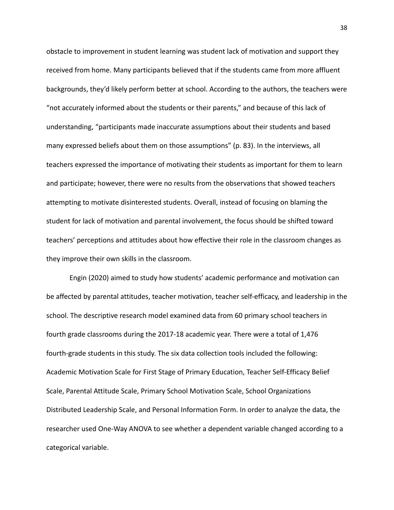obstacle to improvement in student learning was student lack of motivation and support they received from home. Many participants believed that if the students came from more affluent backgrounds, they'd likely perform better at school. According to the authors, the teachers were "not accurately informed about the students or their parents," and because of this lack of understanding, "participants made inaccurate assumptions about their students and based many expressed beliefs about them on those assumptions" (p. 83). In the interviews, all teachers expressed the importance of motivating their students as important for them to learn and participate; however, there were no results from the observations that showed teachers attempting to motivate disinterested students. Overall, instead of focusing on blaming the student for lack of motivation and parental involvement, the focus should be shifted toward teachers' perceptions and attitudes about how effective their role in the classroom changes as they improve their own skills in the classroom.

Engin (2020) aimed to study how students' academic performance and motivation can be affected by parental attitudes, teacher motivation, teacher self-efficacy, and leadership in the school. The descriptive research model examined data from 60 primary school teachers in fourth grade classrooms during the 2017-18 academic year. There were a total of 1,476 fourth-grade students in this study. The six data collection tools included the following: Academic Motivation Scale for First Stage of Primary Education, Teacher Self-Efficacy Belief Scale, Parental Attitude Scale, Primary School Motivation Scale, School Organizations Distributed Leadership Scale, and Personal Information Form. In order to analyze the data, the researcher used One-Way ANOVA to see whether a dependent variable changed according to a categorical variable.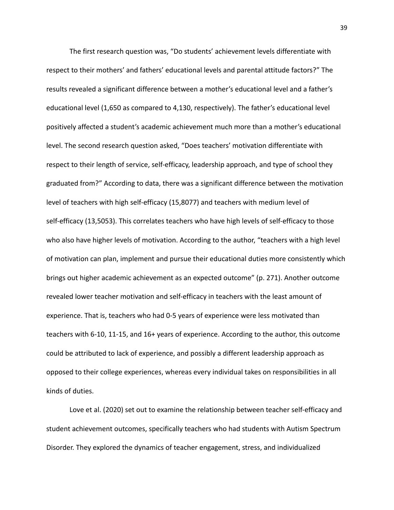The first research question was, "Do students' achievement levels differentiate with respect to their mothers' and fathers' educational levels and parental attitude factors?" The results revealed a significant difference between a mother's educational level and a father's educational level (1,650 as compared to 4,130, respectively). The father's educational level positively affected a student's academic achievement much more than a mother's educational level. The second research question asked, "Does teachers' motivation differentiate with respect to their length of service, self-efficacy, leadership approach, and type of school they graduated from?" According to data, there was a significant difference between the motivation level of teachers with high self-efficacy (15,8077) and teachers with medium level of self-efficacy (13,5053). This correlates teachers who have high levels of self-efficacy to those who also have higher levels of motivation. According to the author, "teachers with a high level of motivation can plan, implement and pursue their educational duties more consistently which brings out higher academic achievement as an expected outcome" (p. 271). Another outcome revealed lower teacher motivation and self-efficacy in teachers with the least amount of experience. That is, teachers who had 0-5 years of experience were less motivated than teachers with 6-10, 11-15, and 16+ years of experience. According to the author, this outcome could be attributed to lack of experience, and possibly a different leadership approach as opposed to their college experiences, whereas every individual takes on responsibilities in all kinds of duties.

Love et al. (2020) set out to examine the relationship between teacher self-efficacy and student achievement outcomes, specifically teachers who had students with Autism Spectrum Disorder. They explored the dynamics of teacher engagement, stress, and individualized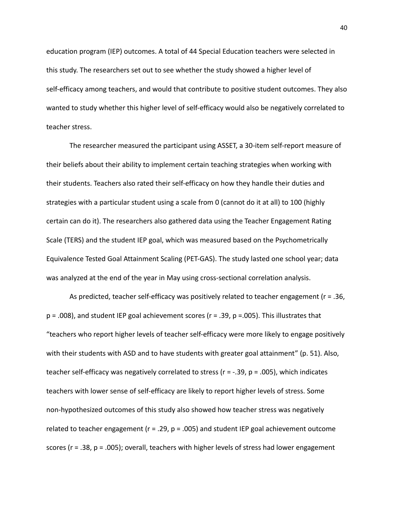education program (IEP) outcomes. A total of 44 Special Education teachers were selected in this study. The researchers set out to see whether the study showed a higher level of self-efficacy among teachers, and would that contribute to positive student outcomes. They also wanted to study whether this higher level of self-efficacy would also be negatively correlated to teacher stress.

The researcher measured the participant using ASSET, a 30-item self-report measure of their beliefs about their ability to implement certain teaching strategies when working with their students. Teachers also rated their self-efficacy on how they handle their duties and strategies with a particular student using a scale from 0 (cannot do it at all) to 100 (highly certain can do it). The researchers also gathered data using the Teacher Engagement Rating Scale (TERS) and the student IEP goal, which was measured based on the Psychometrically Equivalence Tested Goal Attainment Scaling (PET-GAS). The study lasted one school year; data was analyzed at the end of the year in May using cross-sectional correlation analysis.

As predicted, teacher self-efficacy was positively related to teacher engagement (r = .36,  $p = .008$ ), and student IEP goal achievement scores ( $r = .39$ ,  $p = .005$ ). This illustrates that "teachers who report higher levels of teacher self-efficacy were more likely to engage positively with their students with ASD and to have students with greater goal attainment" (p. 51). Also, teacher self-efficacy was negatively correlated to stress ( $r = -.39$ ,  $p = .005$ ), which indicates teachers with lower sense of self-efficacy are likely to report higher levels of stress. Some non-hypothesized outcomes of this study also showed how teacher stress was negatively related to teacher engagement ( $r = .29$ ,  $p = .005$ ) and student IEP goal achievement outcome scores ( $r = .38$ ,  $p = .005$ ); overall, teachers with higher levels of stress had lower engagement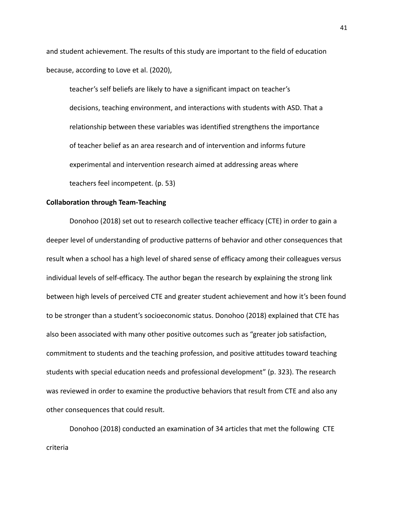and student achievement. The results of this study are important to the field of education because, according to Love et al. (2020),

teacher's self beliefs are likely to have a significant impact on teacher's decisions, teaching environment, and interactions with students with ASD. That a relationship between these variables was identified strengthens the importance of teacher belief as an area research and of intervention and informs future experimental and intervention research aimed at addressing areas where teachers feel incompetent. (p. 53)

#### **Collaboration through Team-Teaching**

Donohoo (2018) set out to research collective teacher efficacy (CTE) in order to gain a deeper level of understanding of productive patterns of behavior and other consequences that result when a school has a high level of shared sense of efficacy among their colleagues versus individual levels of self-efficacy. The author began the research by explaining the strong link between high levels of perceived CTE and greater student achievement and how it's been found to be stronger than a student's socioeconomic status. Donohoo (2018) explained that CTE has also been associated with many other positive outcomes such as "greater job satisfaction, commitment to students and the teaching profession, and positive attitudes toward teaching students with special education needs and professional development" (p. 323). The research was reviewed in order to examine the productive behaviors that result from CTE and also any other consequences that could result.

Donohoo (2018) conducted an examination of 34 articles that met the following CTE criteria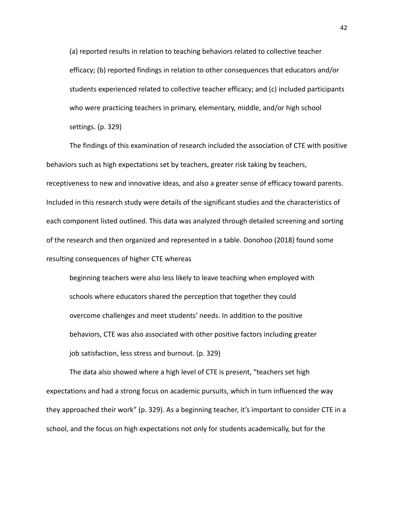(a) reported results in relation to teaching behaviors related to collective teacher efficacy; (b) reported findings in relation to other consequences that educators and/or students experienced related to collective teacher efficacy; and (c) included participants who were practicing teachers in primary, elementary, middle, and/or high school settings. (p. 329)

The findings of this examination of research included the association of CTE with positive behaviors such as high expectations set by teachers, greater risk taking by teachers, receptiveness to new and innovative ideas, and also a greater sense of efficacy toward parents. Included in this research study were details of the significant studies and the characteristics of each component listed outlined. This data was analyzed through detailed screening and sorting of the research and then organized and represented in a table. Donohoo (2018) found some resulting consequences of higher CTE whereas

beginning teachers were also less likely to leave teaching when employed with schools where educators shared the perception that together they could overcome challenges and meet students' needs. In addition to the positive behaviors, CTE was also associated with other positive factors including greater job satisfaction, less stress and burnout. (p. 329)

The data also showed where a high level of CTE is present, "teachers set high expectations and had a strong focus on academic pursuits, which in turn influenced the way they approached their work" (p. 329). As a beginning teacher, it's important to consider CTE in a school, and the focus on high expectations not only for students academically, but for the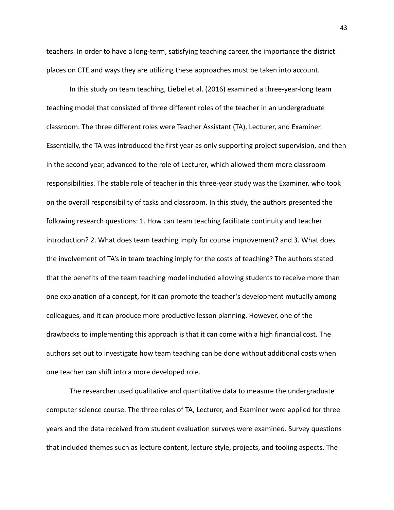teachers. In order to have a long-term, satisfying teaching career, the importance the district places on CTE and ways they are utilizing these approaches must be taken into account.

In this study on team teaching, Liebel et al. (2016) examined a three-year-long team teaching model that consisted of three different roles of the teacher in an undergraduate classroom. The three different roles were Teacher Assistant (TA), Lecturer, and Examiner. Essentially, the TA was introduced the first year as only supporting project supervision, and then in the second year, advanced to the role of Lecturer, which allowed them more classroom responsibilities. The stable role of teacher in this three-year study was the Examiner, who took on the overall responsibility of tasks and classroom. In this study, the authors presented the following research questions: 1. How can team teaching facilitate continuity and teacher introduction? 2. What does team teaching imply for course improvement? and 3. What does the involvement of TA's in team teaching imply for the costs of teaching? The authors stated that the benefits of the team teaching model included allowing students to receive more than one explanation of a concept, for it can promote the teacher's development mutually among colleagues, and it can produce more productive lesson planning. However, one of the drawbacks to implementing this approach is that it can come with a high financial cost. The authors set out to investigate how team teaching can be done without additional costs when one teacher can shift into a more developed role.

The researcher used qualitative and quantitative data to measure the undergraduate computer science course. The three roles of TA, Lecturer, and Examiner were applied for three years and the data received from student evaluation surveys were examined. Survey questions that included themes such as lecture content, lecture style, projects, and tooling aspects. The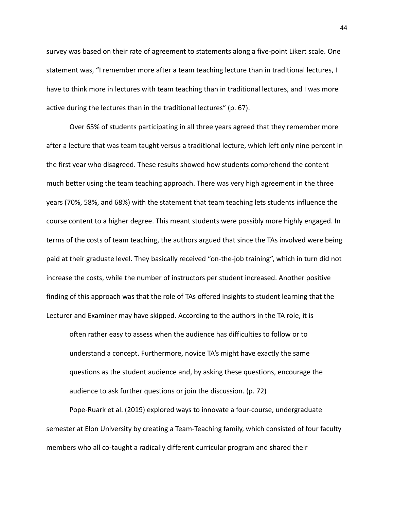survey was based on their rate of agreement to statements along a five-point Likert scale. One statement was, "I remember more after a team teaching lecture than in traditional lectures, I have to think more in lectures with team teaching than in traditional lectures, and I was more active during the lectures than in the traditional lectures" (p. 67).

Over 65% of students participating in all three years agreed that they remember more after a lecture that was team taught versus a traditional lecture, which left only nine percent in the first year who disagreed. These results showed how students comprehend the content much better using the team teaching approach. There was very high agreement in the three years (70%, 58%, and 68%) with the statement that team teaching lets students influence the course content to a higher degree. This meant students were possibly more highly engaged. In terms of the costs of team teaching, the authors argued that since the TAs involved were being paid at their graduate level. They basically received "on-the-job training", which in turn did not increase the costs, while the number of instructors per student increased. Another positive finding of this approach was that the role of TAs offered insights to student learning that the Lecturer and Examiner may have skipped. According to the authors in the TA role, it is

often rather easy to assess when the audience has difficulties to follow or to understand a concept. Furthermore, novice TA's might have exactly the same questions as the student audience and, by asking these questions, encourage the audience to ask further questions or join the discussion. (p. 72)

Pope-Ruark et al. (2019) explored ways to innovate a four-course, undergraduate semester at Elon University by creating a Team-Teaching family, which consisted of four faculty members who all co-taught a radically different curricular program and shared their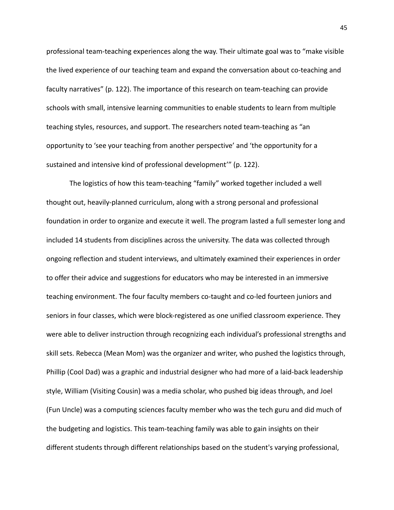professional team-teaching experiences along the way. Their ultimate goal was to "make visible the lived experience of our teaching team and expand the conversation about co-teaching and faculty narratives" (p. 122). The importance of this research on team-teaching can provide schools with small, intensive learning communities to enable students to learn from multiple teaching styles, resources, and support. The researchers noted team-teaching as "an opportunity to 'see your teaching from another perspective' and 'the opportunity for a sustained and intensive kind of professional development'" (p. 122).

The logistics of how this team-teaching "family" worked together included a well thought out, heavily-planned curriculum, along with a strong personal and professional foundation in order to organize and execute it well. The program lasted a full semester long and included 14 students from disciplines across the university. The data was collected through ongoing reflection and student interviews, and ultimately examined their experiences in order to offer their advice and suggestions for educators who may be interested in an immersive teaching environment. The four faculty members co-taught and co-led fourteen juniors and seniors in four classes, which were block-registered as one unified classroom experience. They were able to deliver instruction through recognizing each individual's professional strengths and skill sets. Rebecca (Mean Mom) was the organizer and writer, who pushed the logistics through, Phillip (Cool Dad) was a graphic and industrial designer who had more of a laid-back leadership style, William (Visiting Cousin) was a media scholar, who pushed big ideas through, and Joel (Fun Uncle) was a computing sciences faculty member who was the tech guru and did much of the budgeting and logistics. This team-teaching family was able to gain insights on their different students through different relationships based on the student's varying professional,

45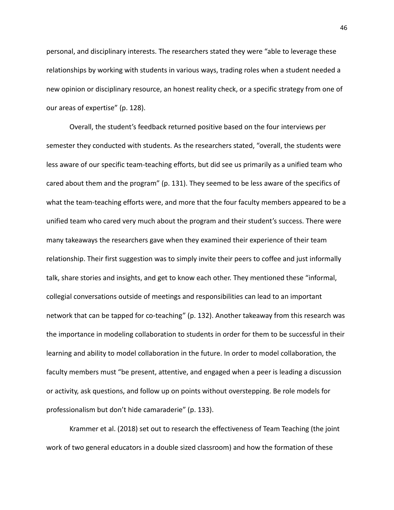personal, and disciplinary interests. The researchers stated they were "able to leverage these relationships by working with students in various ways, trading roles when a student needed a new opinion or disciplinary resource, an honest reality check, or a specific strategy from one of our areas of expertise" (p. 128).

Overall, the student's feedback returned positive based on the four interviews per semester they conducted with students. As the researchers stated, "overall, the students were less aware of our specific team-teaching efforts, but did see us primarily as a unified team who cared about them and the program" (p. 131). They seemed to be less aware of the specifics of what the team-teaching efforts were, and more that the four faculty members appeared to be a unified team who cared very much about the program and their student's success. There were many takeaways the researchers gave when they examined their experience of their team relationship. Their first suggestion was to simply invite their peers to coffee and just informally talk, share stories and insights, and get to know each other. They mentioned these "informal, collegial conversations outside of meetings and responsibilities can lead to an important network that can be tapped for co-teaching" (p. 132). Another takeaway from this research was the importance in modeling collaboration to students in order for them to be successful in their learning and ability to model collaboration in the future. In order to model collaboration, the faculty members must "be present, attentive, and engaged when a peer is leading a discussion or activity, ask questions, and follow up on points without overstepping. Be role models for professionalism but don't hide camaraderie" (p. 133).

Krammer et al. (2018) set out to research the effectiveness of Team Teaching (the joint work of two general educators in a double sized classroom) and how the formation of these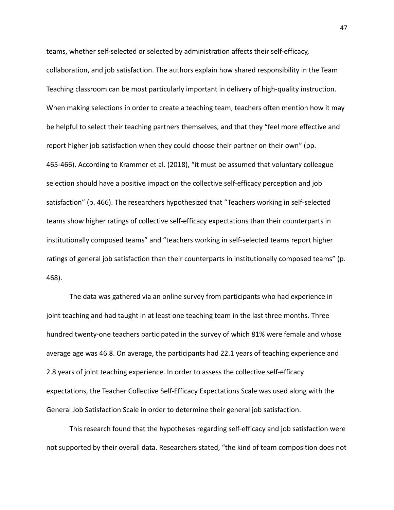teams, whether self-selected or selected by administration affects their self-efficacy, collaboration, and job satisfaction. The authors explain how shared responsibility in the Team Teaching classroom can be most particularly important in delivery of high-quality instruction. When making selections in order to create a teaching team, teachers often mention how it may be helpful to select their teaching partners themselves, and that they "feel more effective and report higher job satisfaction when they could choose their partner on their own" (pp. 465-466). According to Krammer et al. (2018), "it must be assumed that voluntary colleague selection should have a positive impact on the collective self-efficacy perception and job satisfaction" (p. 466). The researchers hypothesized that "Teachers working in self-selected teams show higher ratings of collective self-efficacy expectations than their counterparts in institutionally composed teams" and "teachers working in self-selected teams report higher ratings of general job satisfaction than their counterparts in institutionally composed teams" (p. 468).

The data was gathered via an online survey from participants who had experience in joint teaching and had taught in at least one teaching team in the last three months. Three hundred twenty-one teachers participated in the survey of which 81% were female and whose average age was 46.8. On average, the participants had 22.1 years of teaching experience and 2.8 years of joint teaching experience. In order to assess the collective self-efficacy expectations, the Teacher Collective Self-Efficacy Expectations Scale was used along with the General Job Satisfaction Scale in order to determine their general job satisfaction.

This research found that the hypotheses regarding self-efficacy and job satisfaction were not supported by their overall data. Researchers stated, "the kind of team composition does not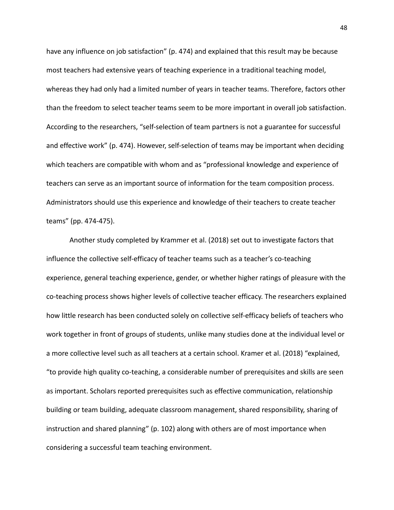have any influence on job satisfaction" (p. 474) and explained that this result may be because most teachers had extensive years of teaching experience in a traditional teaching model, whereas they had only had a limited number of years in teacher teams. Therefore, factors other than the freedom to select teacher teams seem to be more important in overall job satisfaction. According to the researchers, "self-selection of team partners is not a guarantee for successful and effective work" (p. 474). However, self-selection of teams may be important when deciding which teachers are compatible with whom and as "professional knowledge and experience of teachers can serve as an important source of information for the team composition process. Administrators should use this experience and knowledge of their teachers to create teacher teams" (pp. 474-475).

Another study completed by Krammer et al. (2018) set out to investigate factors that influence the collective self-efficacy of teacher teams such as a teacher's co-teaching experience, general teaching experience, gender, or whether higher ratings of pleasure with the co-teaching process shows higher levels of collective teacher efficacy. The researchers explained how little research has been conducted solely on collective self-efficacy beliefs of teachers who work together in front of groups of students, unlike many studies done at the individual level or a more collective level such as all teachers at a certain school. Kramer et al. (2018) "explained, "to provide high quality co-teaching, a considerable number of prerequisites and skills are seen as important. Scholars reported prerequisites such as effective communication, relationship building or team building, adequate classroom management, shared responsibility, sharing of instruction and shared planning" (p. 102) along with others are of most importance when considering a successful team teaching environment.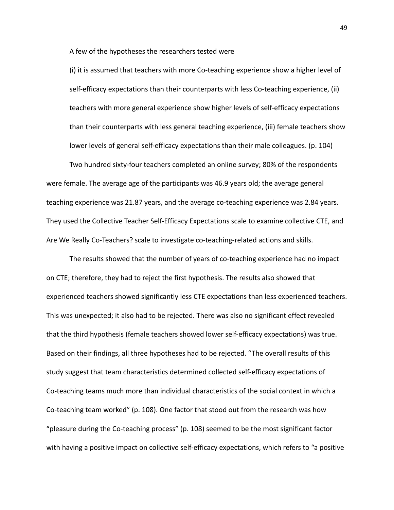A few of the hypotheses the researchers tested were

(i) it is assumed that teachers with more Co-teaching experience show a higher level of self-efficacy expectations than their counterparts with less Co-teaching experience, (ii) teachers with more general experience show higher levels of self-efficacy expectations than their counterparts with less general teaching experience, (iii) female teachers show lower levels of general self-efficacy expectations than their male colleagues. (p. 104)

Two hundred sixty-four teachers completed an online survey; 80% of the respondents were female. The average age of the participants was 46.9 years old; the average general teaching experience was 21.87 years, and the average co-teaching experience was 2.84 years. They used the Collective Teacher Self-Efficacy Expectations scale to examine collective CTE, and Are We Really Co-Teachers? scale to investigate co-teaching-related actions and skills.

The results showed that the number of years of co-teaching experience had no impact on CTE; therefore, they had to reject the first hypothesis. The results also showed that experienced teachers showed significantly less CTE expectations than less experienced teachers. This was unexpected; it also had to be rejected. There was also no significant effect revealed that the third hypothesis (female teachers showed lower self-efficacy expectations) was true. Based on their findings, all three hypotheses had to be rejected. "The overall results of this study suggest that team characteristics determined collected self-efficacy expectations of Co-teaching teams much more than individual characteristics of the social context in which a Co-teaching team worked" (p. 108). One factor that stood out from the research was how "pleasure during the Co-teaching process" (p. 108) seemed to be the most significant factor with having a positive impact on collective self-efficacy expectations, which refers to "a positive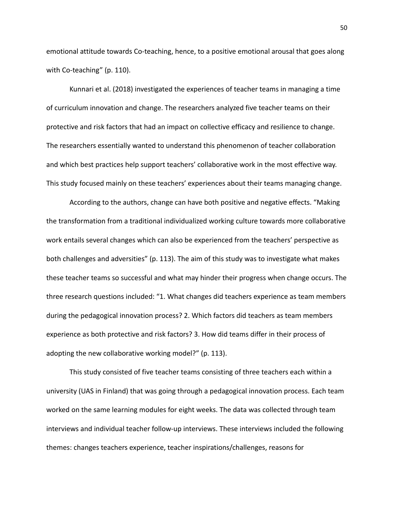emotional attitude towards Co-teaching, hence, to a positive emotional arousal that goes along with Co-teaching" (p. 110).

Kunnari et al. (2018) investigated the experiences of teacher teams in managing a time of curriculum innovation and change. The researchers analyzed five teacher teams on their protective and risk factors that had an impact on collective efficacy and resilience to change. The researchers essentially wanted to understand this phenomenon of teacher collaboration and which best practices help support teachers' collaborative work in the most effective way. This study focused mainly on these teachers' experiences about their teams managing change.

According to the authors, change can have both positive and negative effects. "Making the transformation from a traditional individualized working culture towards more collaborative work entails several changes which can also be experienced from the teachers' perspective as both challenges and adversities" (p. 113). The aim of this study was to investigate what makes these teacher teams so successful and what may hinder their progress when change occurs. The three research questions included: "1. What changes did teachers experience as team members during the pedagogical innovation process? 2. Which factors did teachers as team members experience as both protective and risk factors? 3. How did teams differ in their process of adopting the new collaborative working model?" (p. 113).

This study consisted of five teacher teams consisting of three teachers each within a university (UAS in Finland) that was going through a pedagogical innovation process. Each team worked on the same learning modules for eight weeks. The data was collected through team interviews and individual teacher follow-up interviews. These interviews included the following themes: changes teachers experience, teacher inspirations/challenges, reasons for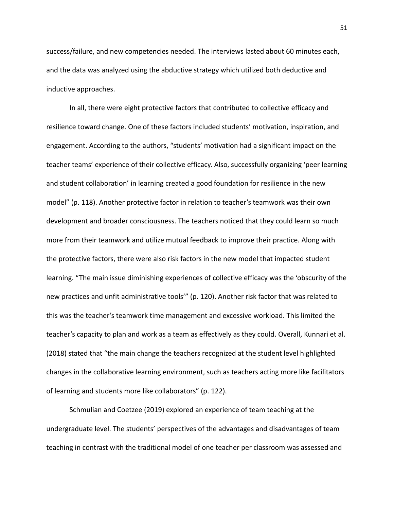success/failure, and new competencies needed. The interviews lasted about 60 minutes each, and the data was analyzed using the abductive strategy which utilized both deductive and inductive approaches.

In all, there were eight protective factors that contributed to collective efficacy and resilience toward change. One of these factors included students' motivation, inspiration, and engagement. According to the authors, "students' motivation had a significant impact on the teacher teams' experience of their collective efficacy. Also, successfully organizing 'peer learning and student collaboration' in learning created a good foundation for resilience in the new model" (p. 118). Another protective factor in relation to teacher's teamwork was their own development and broader consciousness. The teachers noticed that they could learn so much more from their teamwork and utilize mutual feedback to improve their practice. Along with the protective factors, there were also risk factors in the new model that impacted student learning. "The main issue diminishing experiences of collective efficacy was the 'obscurity of the new practices and unfit administrative tools'" (p. 120). Another risk factor that was related to this was the teacher's teamwork time management and excessive workload. This limited the teacher's capacity to plan and work as a team as effectively as they could. Overall, Kunnari et al. (2018) stated that "the main change the teachers recognized at the student level highlighted changes in the collaborative learning environment, such as teachers acting more like facilitators of learning and students more like collaborators" (p. 122).

Schmulian and Coetzee (2019) explored an experience of team teaching at the undergraduate level. The students' perspectives of the advantages and disadvantages of team teaching in contrast with the traditional model of one teacher per classroom was assessed and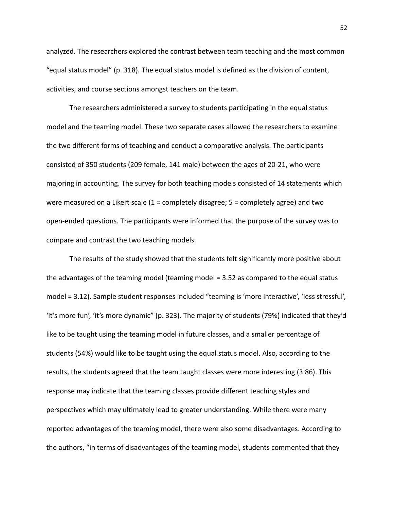analyzed. The researchers explored the contrast between team teaching and the most common "equal status model" (p. 318). The equal status model is defined as the division of content, activities, and course sections amongst teachers on the team.

The researchers administered a survey to students participating in the equal status model and the teaming model. These two separate cases allowed the researchers to examine the two different forms of teaching and conduct a comparative analysis. The participants consisted of 350 students (209 female, 141 male) between the ages of 20-21, who were majoring in accounting. The survey for both teaching models consisted of 14 statements which were measured on a Likert scale  $(1 = \text{completely disagree}; 5 = \text{completely aggregate})$  and two open-ended questions. The participants were informed that the purpose of the survey was to compare and contrast the two teaching models.

The results of the study showed that the students felt significantly more positive about the advantages of the teaming model (teaming model = 3.52 as compared to the equal status model = 3.12). Sample student responses included "teaming is 'more interactive', 'less stressful', 'it's more fun', 'it's more dynamic" (p. 323). The majority of students (79%) indicated that they'd like to be taught using the teaming model in future classes, and a smaller percentage of students (54%) would like to be taught using the equal status model. Also, according to the results, the students agreed that the team taught classes were more interesting (3.86). This response may indicate that the teaming classes provide different teaching styles and perspectives which may ultimately lead to greater understanding. While there were many reported advantages of the teaming model, there were also some disadvantages. According to the authors, "in terms of disadvantages of the teaming model, students commented that they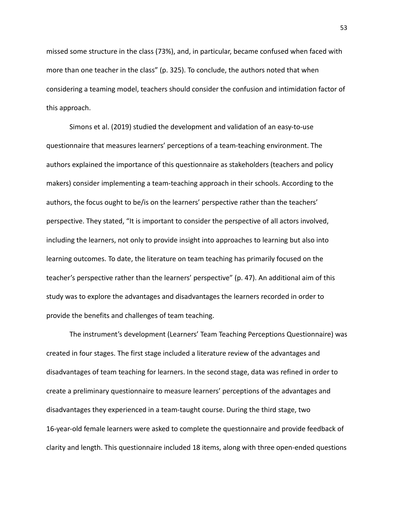missed some structure in the class (73%), and, in particular, became confused when faced with more than one teacher in the class" (p. 325). To conclude, the authors noted that when considering a teaming model, teachers should consider the confusion and intimidation factor of this approach.

Simons et al. (2019) studied the development and validation of an easy-to-use questionnaire that measures learners' perceptions of a team-teaching environment. The authors explained the importance of this questionnaire as stakeholders (teachers and policy makers) consider implementing a team-teaching approach in their schools. According to the authors, the focus ought to be/is on the learners' perspective rather than the teachers' perspective. They stated, "It is important to consider the perspective of all actors involved, including the learners, not only to provide insight into approaches to learning but also into learning outcomes. To date, the literature on team teaching has primarily focused on the teacher's perspective rather than the learners' perspective" (p. 47). An additional aim of this study was to explore the advantages and disadvantages the learners recorded in order to provide the benefits and challenges of team teaching.

The instrument's development (Learners' Team Teaching Perceptions Questionnaire) was created in four stages. The first stage included a literature review of the advantages and disadvantages of team teaching for learners. In the second stage, data was refined in order to create a preliminary questionnaire to measure learners' perceptions of the advantages and disadvantages they experienced in a team-taught course. During the third stage, two 16-year-old female learners were asked to complete the questionnaire and provide feedback of clarity and length. This questionnaire included 18 items, along with three open-ended questions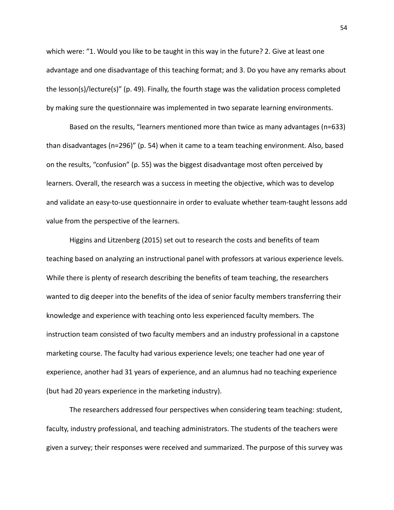which were: "1. Would you like to be taught in this way in the future? 2. Give at least one advantage and one disadvantage of this teaching format; and 3. Do you have any remarks about the lesson(s)/lecture(s)" (p. 49). Finally, the fourth stage was the validation process completed by making sure the questionnaire was implemented in two separate learning environments.

Based on the results, "learners mentioned more than twice as many advantages (n=633) than disadvantages (n=296)" (p. 54) when it came to a team teaching environment. Also, based on the results, "confusion" (p. 55) was the biggest disadvantage most often perceived by learners. Overall, the research was a success in meeting the objective, which was to develop and validate an easy-to-use questionnaire in order to evaluate whether team-taught lessons add value from the perspective of the learners.

Higgins and Litzenberg (2015) set out to research the costs and benefits of team teaching based on analyzing an instructional panel with professors at various experience levels. While there is plenty of research describing the benefits of team teaching, the researchers wanted to dig deeper into the benefits of the idea of senior faculty members transferring their knowledge and experience with teaching onto less experienced faculty members. The instruction team consisted of two faculty members and an industry professional in a capstone marketing course. The faculty had various experience levels; one teacher had one year of experience, another had 31 years of experience, and an alumnus had no teaching experience (but had 20 years experience in the marketing industry).

The researchers addressed four perspectives when considering team teaching: student, faculty, industry professional, and teaching administrators. The students of the teachers were given a survey; their responses were received and summarized. The purpose of this survey was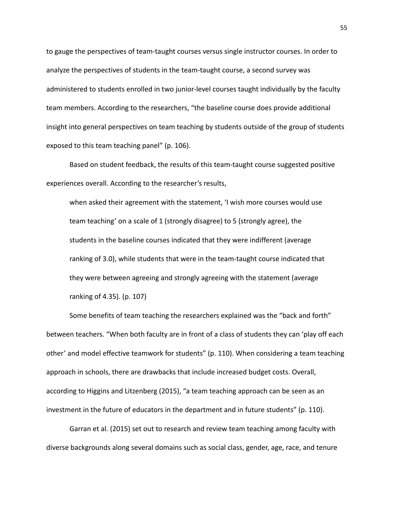to gauge the perspectives of team-taught courses versus single instructor courses. In order to analyze the perspectives of students in the team-taught course, a second survey was administered to students enrolled in two junior-level courses taught individually by the faculty team members. According to the researchers, "the baseline course does provide additional insight into general perspectives on team teaching by students outside of the group of students exposed to this team teaching panel" (p. 106).

Based on student feedback, the results of this team-taught course suggested positive experiences overall. According to the researcher's results,

when asked their agreement with the statement, 'I wish more courses would use team teaching' on a scale of 1 (strongly disagree) to 5 (strongly agree), the students in the baseline courses indicated that they were indifferent (average ranking of 3.0), while students that were in the team-taught course indicated that they were between agreeing and strongly agreeing with the statement (average ranking of 4.35). (p. 107)

Some benefits of team teaching the researchers explained was the "back and forth" between teachers. "When both faculty are in front of a class of students they can 'play off each other' and model effective teamwork for students" (p. 110). When considering a team teaching approach in schools, there are drawbacks that include increased budget costs. Overall, according to Higgins and Litzenberg (2015), "a team teaching approach can be seen as an investment in the future of educators in the department and in future students" (p. 110).

Garran et al. (2015) set out to research and review team teaching among faculty with diverse backgrounds along several domains such as social class, gender, age, race, and tenure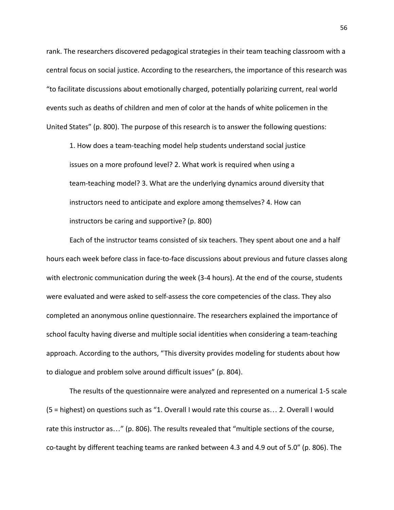rank. The researchers discovered pedagogical strategies in their team teaching classroom with a central focus on social justice. According to the researchers, the importance of this research was "to facilitate discussions about emotionally charged, potentially polarizing current, real world events such as deaths of children and men of color at the hands of white policemen in the United States" (p. 800). The purpose of this research is to answer the following questions:

1. How does a team-teaching model help students understand social justice issues on a more profound level? 2. What work is required when using a team-teaching model? 3. What are the underlying dynamics around diversity that instructors need to anticipate and explore among themselves? 4. How can instructors be caring and supportive? (p. 800)

Each of the instructor teams consisted of six teachers. They spent about one and a half hours each week before class in face-to-face discussions about previous and future classes along with electronic communication during the week (3-4 hours). At the end of the course, students were evaluated and were asked to self-assess the core competencies of the class. They also completed an anonymous online questionnaire. The researchers explained the importance of school faculty having diverse and multiple social identities when considering a team-teaching approach. According to the authors, "This diversity provides modeling for students about how to dialogue and problem solve around difficult issues" (p. 804).

The results of the questionnaire were analyzed and represented on a numerical 1-5 scale (5 = highest) on questions such as "1. Overall I would rate this course as… 2. Overall I would rate this instructor as…" (p. 806). The results revealed that "multiple sections of the course, co-taught by different teaching teams are ranked between 4.3 and 4.9 out of 5.0" (p. 806). The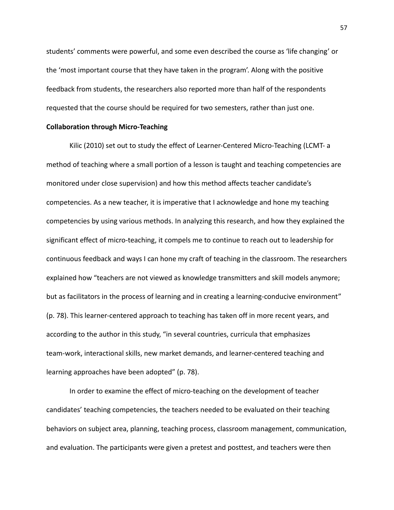students' comments were powerful, and some even described the course as 'life changing' or the 'most important course that they have taken in the program'. Along with the positive feedback from students, the researchers also reported more than half of the respondents requested that the course should be required for two semesters, rather than just one.

# **Collaboration through Micro-Teaching**

Kilic (2010) set out to study the effect of Learner-Centered Micro-Teaching (LCMT- a method of teaching where a small portion of a lesson is taught and teaching competencies are monitored under close supervision) and how this method affects teacher candidate's competencies. As a new teacher, it is imperative that I acknowledge and hone my teaching competencies by using various methods. In analyzing this research, and how they explained the significant effect of micro-teaching, it compels me to continue to reach out to leadership for continuous feedback and ways I can hone my craft of teaching in the classroom. The researchers explained how "teachers are not viewed as knowledge transmitters and skill models anymore; but as facilitators in the process of learning and in creating a learning-conducive environment" (p. 78). This learner-centered approach to teaching has taken off in more recent years, and according to the author in this study, "in several countries, curricula that emphasizes team-work, interactional skills, new market demands, and learner-centered teaching and learning approaches have been adopted" (p. 78).

In order to examine the effect of micro-teaching on the development of teacher candidates' teaching competencies, the teachers needed to be evaluated on their teaching behaviors on subject area, planning, teaching process, classroom management, communication, and evaluation. The participants were given a pretest and posttest, and teachers were then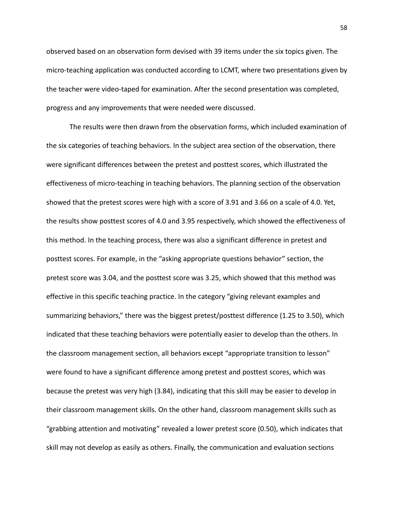observed based on an observation form devised with 39 items under the six topics given. The micro-teaching application was conducted according to LCMT, where two presentations given by the teacher were video-taped for examination. After the second presentation was completed, progress and any improvements that were needed were discussed.

The results were then drawn from the observation forms, which included examination of the six categories of teaching behaviors. In the subject area section of the observation, there were significant differences between the pretest and posttest scores, which illustrated the effectiveness of micro-teaching in teaching behaviors. The planning section of the observation showed that the pretest scores were high with a score of 3.91 and 3.66 on a scale of 4.0. Yet, the results show posttest scores of 4.0 and 3.95 respectively, which showed the effectiveness of this method. In the teaching process, there was also a significant difference in pretest and posttest scores. For example, in the "asking appropriate questions behavior" section, the pretest score was 3.04, and the posttest score was 3.25, which showed that this method was effective in this specific teaching practice. In the category "giving relevant examples and summarizing behaviors," there was the biggest pretest/posttest difference (1.25 to 3.50), which indicated that these teaching behaviors were potentially easier to develop than the others. In the classroom management section, all behaviors except "appropriate transition to lesson" were found to have a significant difference among pretest and posttest scores, which was because the pretest was very high (3.84), indicating that this skill may be easier to develop in their classroom management skills. On the other hand, classroom management skills such as "grabbing attention and motivating" revealed a lower pretest score (0.50), which indicates that skill may not develop as easily as others. Finally, the communication and evaluation sections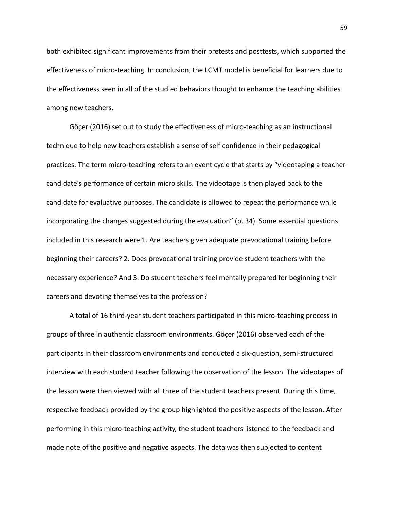both exhibited significant improvements from their pretests and posttests, which supported the effectiveness of micro-teaching. In conclusion, the LCMT model is beneficial for learners due to the effectiveness seen in all of the studied behaviors thought to enhance the teaching abilities among new teachers.

Göçer (2016) set out to study the effectiveness of micro-teaching as an instructional technique to help new teachers establish a sense of self confidence in their pedagogical practices. The term micro-teaching refers to an event cycle that starts by "videotaping a teacher candidate's performance of certain micro skills. The videotape is then played back to the candidate for evaluative purposes. The candidate is allowed to repeat the performance while incorporating the changes suggested during the evaluation" (p. 34). Some essential questions included in this research were 1. Are teachers given adequate prevocational training before beginning their careers? 2. Does prevocational training provide student teachers with the necessary experience? And 3. Do student teachers feel mentally prepared for beginning their careers and devoting themselves to the profession?

A total of 16 third-year student teachers participated in this micro-teaching process in groups of three in authentic classroom environments. Göçer (2016) observed each of the participants in their classroom environments and conducted a six-question, semi-structured interview with each student teacher following the observation of the lesson. The videotapes of the lesson were then viewed with all three of the student teachers present. During this time, respective feedback provided by the group highlighted the positive aspects of the lesson. After performing in this micro-teaching activity, the student teachers listened to the feedback and made note of the positive and negative aspects. The data was then subjected to content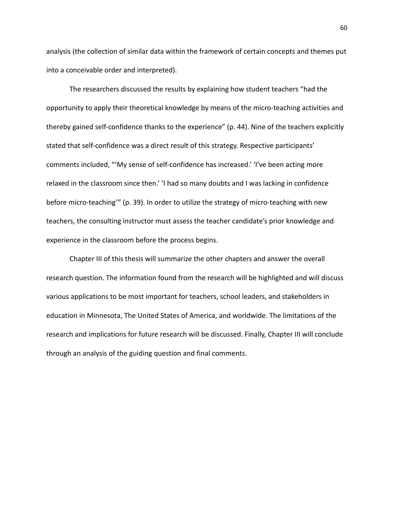analysis (the collection of similar data within the framework of certain concepts and themes put into a conceivable order and interpreted).

The researchers discussed the results by explaining how student teachers "had the opportunity to apply their theoretical knowledge by means of the micro-teaching activities and thereby gained self-confidence thanks to the experience" (p. 44). Nine of the teachers explicitly stated that self-confidence was a direct result of this strategy. Respective participants' comments included, "'My sense of self-confidence has increased.' 'I've been acting more relaxed in the classroom since then.' 'I had so many doubts and I was lacking in confidence before micro-teaching'" (p. 39). In order to utilize the strategy of micro-teaching with new teachers, the consulting instructor must assess the teacher candidate's prior knowledge and experience in the classroom before the process begins.

Chapter III of this thesis will summarize the other chapters and answer the overall research question. The information found from the research will be highlighted and will discuss various applications to be most important for teachers, school leaders, and stakeholders in education in Minnesota, The United States of America, and worldwide. The limitations of the research and implications for future research will be discussed. Finally, Chapter III will conclude through an analysis of the guiding question and final comments.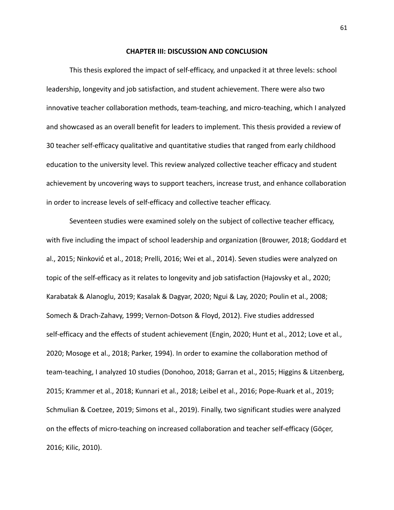#### **CHAPTER III: DISCUSSION AND CONCLUSION**

This thesis explored the impact of self-efficacy, and unpacked it at three levels: school leadership, longevity and job satisfaction, and student achievement. There were also two innovative teacher collaboration methods, team-teaching, and micro-teaching, which I analyzed and showcased as an overall benefit for leaders to implement. This thesis provided a review of 30 teacher self-efficacy qualitative and quantitative studies that ranged from early childhood education to the university level. This review analyzed collective teacher efficacy and student achievement by uncovering ways to support teachers, increase trust, and enhance collaboration in order to increase levels of self-efficacy and collective teacher efficacy.

Seventeen studies were examined solely on the subject of collective teacher efficacy, with five including the impact of school leadership and organization (Brouwer, 2018; Goddard et al., 2015; Ninković et al., 2018; Prelli, 2016; Wei et al., 2014). Seven studies were analyzed on topic of the self-efficacy as it relates to longevity and job satisfaction (Hajovsky et al., 2020; Karabatak & Alanoglu, 2019; Kasalak & Dagyar, 2020; Ngui & Lay, 2020; Poulin et al., 2008; Somech & Drach-Zahavy, 1999; Vernon-Dotson & Floyd, 2012). Five studies addressed self-efficacy and the effects of student achievement (Engin, 2020; Hunt et al., 2012; Love et al., 2020; Mosoge et al., 2018; Parker, 1994). In order to examine the collaboration method of team-teaching, I analyzed 10 studies (Donohoo, 2018; Garran et al., 2015; Higgins & Litzenberg, 2015; Krammer et al., 2018; Kunnari et al., 2018; Leibel et al., 2016; Pope-Ruark et al., 2019; Schmulian & Coetzee, 2019; Simons et al., 2019). Finally, two significant studies were analyzed on the effects of micro-teaching on increased collaboration and teacher self-efficacy (Göçer, 2016; Kilic, 2010).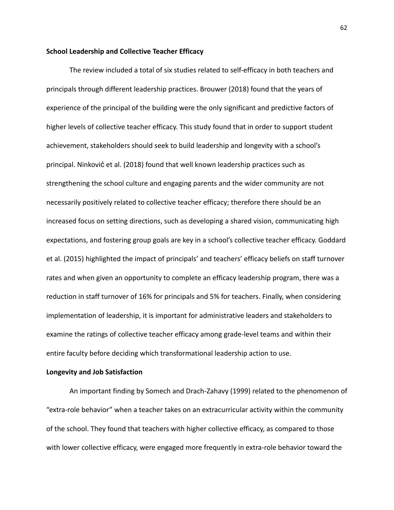## **School Leadership and Collective Teacher Efficacy**

The review included a total of six studies related to self-efficacy in both teachers and principals through different leadership practices. Brouwer (2018) found that the years of experience of the principal of the building were the only significant and predictive factors of higher levels of collective teacher efficacy. This study found that in order to support student achievement, stakeholders should seek to build leadership and longevity with a school's principal. Ninković et al. (2018) found that well known leadership practices such as strengthening the school culture and engaging parents and the wider community are not necessarily positively related to collective teacher efficacy; therefore there should be an increased focus on setting directions, such as developing a shared vision, communicating high expectations, and fostering group goals are key in a school's collective teacher efficacy. Goddard et al. (2015) highlighted the impact of principals' and teachers' efficacy beliefs on staff turnover rates and when given an opportunity to complete an efficacy leadership program, there was a reduction in staff turnover of 16% for principals and 5% for teachers. Finally, when considering implementation of leadership, it is important for administrative leaders and stakeholders to examine the ratings of collective teacher efficacy among grade-level teams and within their entire faculty before deciding which transformational leadership action to use.

### **Longevity and Job Satisfaction**

An important finding by Somech and Drach-Zahavy (1999) related to the phenomenon of "extra-role behavior" when a teacher takes on an extracurricular activity within the community of the school. They found that teachers with higher collective efficacy, as compared to those with lower collective efficacy, were engaged more frequently in extra-role behavior toward the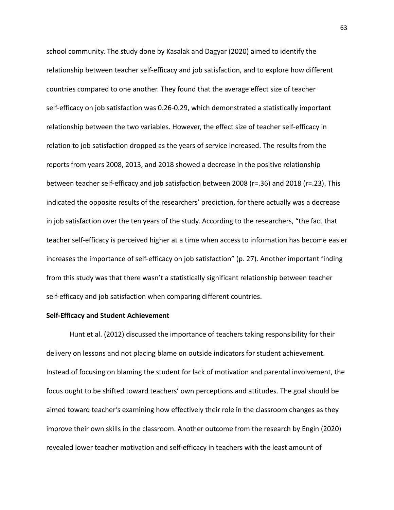school community. The study done by Kasalak and Dagyar (2020) aimed to identify the relationship between teacher self-efficacy and job satisfaction, and to explore how different countries compared to one another. They found that the average effect size of teacher self-efficacy on job satisfaction was 0.26-0.29, which demonstrated a statistically important relationship between the two variables. However, the effect size of teacher self-efficacy in relation to job satisfaction dropped as the years of service increased. The results from the reports from years 2008, 2013, and 2018 showed a decrease in the positive relationship between teacher self-efficacy and job satisfaction between 2008 (r=.36) and 2018 (r=.23). This indicated the opposite results of the researchers' prediction, for there actually was a decrease in job satisfaction over the ten years of the study. According to the researchers, "the fact that teacher self-efficacy is perceived higher at a time when access to information has become easier increases the importance of self-efficacy on job satisfaction" (p. 27). Another important finding from this study was that there wasn't a statistically significant relationship between teacher self-efficacy and job satisfaction when comparing different countries.

### **Self-Efficacy and Student Achievement**

Hunt et al. (2012) discussed the importance of teachers taking responsibility for their delivery on lessons and not placing blame on outside indicators for student achievement. Instead of focusing on blaming the student for lack of motivation and parental involvement, the focus ought to be shifted toward teachers' own perceptions and attitudes. The goal should be aimed toward teacher's examining how effectively their role in the classroom changes as they improve their own skills in the classroom. Another outcome from the research by Engin (2020) revealed lower teacher motivation and self-efficacy in teachers with the least amount of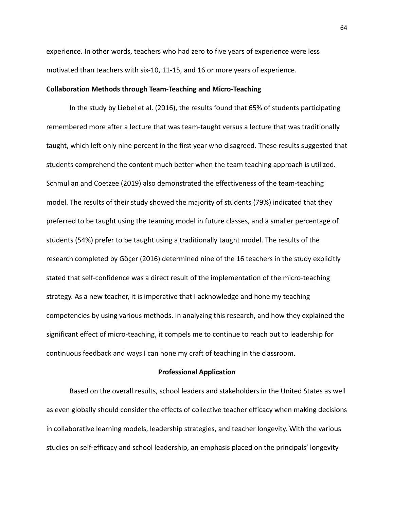experience. In other words, teachers who had zero to five years of experience were less motivated than teachers with six-10, 11-15, and 16 or more years of experience.

### **Collaboration Methods through Team-Teaching and Micro-Teaching**

In the study by Liebel et al. (2016), the results found that 65% of students participating remembered more after a lecture that was team-taught versus a lecture that was traditionally taught, which left only nine percent in the first year who disagreed. These results suggested that students comprehend the content much better when the team teaching approach is utilized. Schmulian and Coetzee (2019) also demonstrated the effectiveness of the team-teaching model. The results of their study showed the majority of students (79%) indicated that they preferred to be taught using the teaming model in future classes, and a smaller percentage of students (54%) prefer to be taught using a traditionally taught model. The results of the research completed by Göçer (2016) determined nine of the 16 teachers in the study explicitly stated that self-confidence was a direct result of the implementation of the micro-teaching strategy. As a new teacher, it is imperative that I acknowledge and hone my teaching competencies by using various methods. In analyzing this research, and how they explained the significant effect of micro-teaching, it compels me to continue to reach out to leadership for continuous feedback and ways I can hone my craft of teaching in the classroom.

### **Professional Application**

Based on the overall results, school leaders and stakeholders in the United States as well as even globally should consider the effects of collective teacher efficacy when making decisions in collaborative learning models, leadership strategies, and teacher longevity. With the various studies on self-efficacy and school leadership, an emphasis placed on the principals' longevity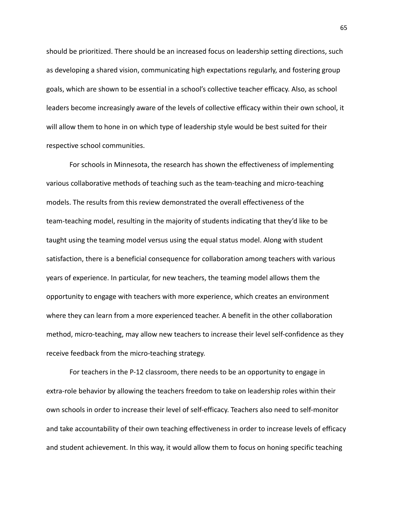should be prioritized. There should be an increased focus on leadership setting directions, such as developing a shared vision, communicating high expectations regularly, and fostering group goals, which are shown to be essential in a school's collective teacher efficacy. Also, as school leaders become increasingly aware of the levels of collective efficacy within their own school, it will allow them to hone in on which type of leadership style would be best suited for their respective school communities.

For schools in Minnesota, the research has shown the effectiveness of implementing various collaborative methods of teaching such as the team-teaching and micro-teaching models. The results from this review demonstrated the overall effectiveness of the team-teaching model, resulting in the majority of students indicating that they'd like to be taught using the teaming model versus using the equal status model. Along with student satisfaction, there is a beneficial consequence for collaboration among teachers with various years of experience. In particular, for new teachers, the teaming model allows them the opportunity to engage with teachers with more experience, which creates an environment where they can learn from a more experienced teacher. A benefit in the other collaboration method, micro-teaching, may allow new teachers to increase their level self-confidence as they receive feedback from the micro-teaching strategy.

For teachers in the P-12 classroom, there needs to be an opportunity to engage in extra-role behavior by allowing the teachers freedom to take on leadership roles within their own schools in order to increase their level of self-efficacy. Teachers also need to self-monitor and take accountability of their own teaching effectiveness in order to increase levels of efficacy and student achievement. In this way, it would allow them to focus on honing specific teaching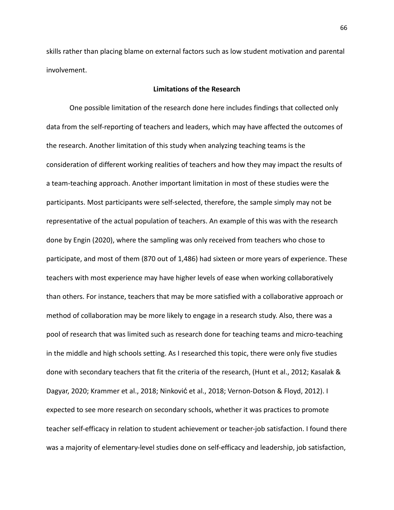skills rather than placing blame on external factors such as low student motivation and parental involvement.

# **Limitations of the Research**

One possible limitation of the research done here includes findings that collected only data from the self-reporting of teachers and leaders, which may have affected the outcomes of the research. Another limitation of this study when analyzing teaching teams is the consideration of different working realities of teachers and how they may impact the results of a team-teaching approach. Another important limitation in most of these studies were the participants. Most participants were self-selected, therefore, the sample simply may not be representative of the actual population of teachers. An example of this was with the research done by Engin (2020), where the sampling was only received from teachers who chose to participate, and most of them (870 out of 1,486) had sixteen or more years of experience. These teachers with most experience may have higher levels of ease when working collaboratively than others. For instance, teachers that may be more satisfied with a collaborative approach or method of collaboration may be more likely to engage in a research study. Also, there was a pool of research that was limited such as research done for teaching teams and micro-teaching in the middle and high schools setting. As I researched this topic, there were only five studies done with secondary teachers that fit the criteria of the research, (Hunt et al., 2012; Kasalak & Dagyar, 2020; Krammer et al., 2018; Ninković et al., 2018; Vernon-Dotson & Floyd, 2012). I expected to see more research on secondary schools, whether it was practices to promote teacher self-efficacy in relation to student achievement or teacher-job satisfaction. I found there was a majority of elementary-level studies done on self-efficacy and leadership, job satisfaction,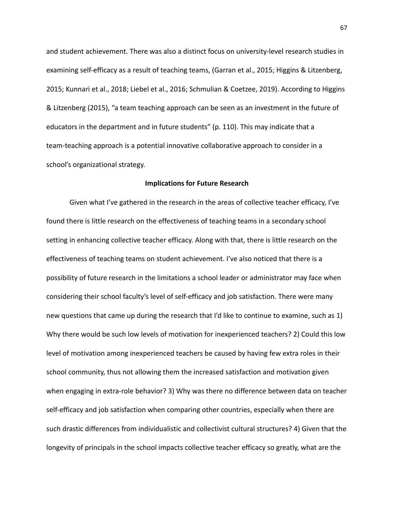and student achievement. There was also a distinct focus on university-level research studies in examining self-efficacy as a result of teaching teams, (Garran et al., 2015; Higgins & Litzenberg, 2015; Kunnari et al., 2018; Liebel et al., 2016; Schmulian & Coetzee, 2019). According to Higgins & Litzenberg (2015), "a team teaching approach can be seen as an investment in the future of educators in the department and in future students" (p. 110). This may indicate that a team-teaching approach is a potential innovative collaborative approach to consider in a school's organizational strategy.

#### **Implications for Future Research**

Given what I've gathered in the research in the areas of collective teacher efficacy, I've found there is little research on the effectiveness of teaching teams in a secondary school setting in enhancing collective teacher efficacy. Along with that, there is little research on the effectiveness of teaching teams on student achievement. I've also noticed that there is a possibility of future research in the limitations a school leader or administrator may face when considering their school faculty's level of self-efficacy and job satisfaction. There were many new questions that came up during the research that I'd like to continue to examine, such as 1) Why there would be such low levels of motivation for inexperienced teachers? 2) Could this low level of motivation among inexperienced teachers be caused by having few extra roles in their school community, thus not allowing them the increased satisfaction and motivation given when engaging in extra-role behavior? 3) Why was there no difference between data on teacher self-efficacy and job satisfaction when comparing other countries, especially when there are such drastic differences from individualistic and collectivist cultural structures? 4) Given that the longevity of principals in the school impacts collective teacher efficacy so greatly, what are the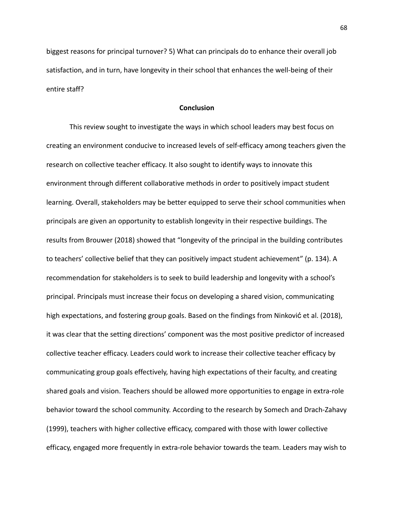biggest reasons for principal turnover? 5) What can principals do to enhance their overall job satisfaction, and in turn, have longevity in their school that enhances the well-being of their entire staff?

## **Conclusion**

This review sought to investigate the ways in which school leaders may best focus on creating an environment conducive to increased levels of self-efficacy among teachers given the research on collective teacher efficacy. It also sought to identify ways to innovate this environment through different collaborative methods in order to positively impact student learning. Overall, stakeholders may be better equipped to serve their school communities when principals are given an opportunity to establish longevity in their respective buildings. The results from Brouwer (2018) showed that "longevity of the principal in the building contributes to teachers' collective belief that they can positively impact student achievement" (p. 134). A recommendation for stakeholders is to seek to build leadership and longevity with a school's principal. Principals must increase their focus on developing a shared vision, communicating high expectations, and fostering group goals. Based on the findings from Ninković et al. (2018), it was clear that the setting directions' component was the most positive predictor of increased collective teacher efficacy. Leaders could work to increase their collective teacher efficacy by communicating group goals effectively, having high expectations of their faculty, and creating shared goals and vision. Teachers should be allowed more opportunities to engage in extra-role behavior toward the school community. According to the research by Somech and Drach-Zahavy (1999), teachers with higher collective efficacy, compared with those with lower collective efficacy, engaged more frequently in extra-role behavior towards the team. Leaders may wish to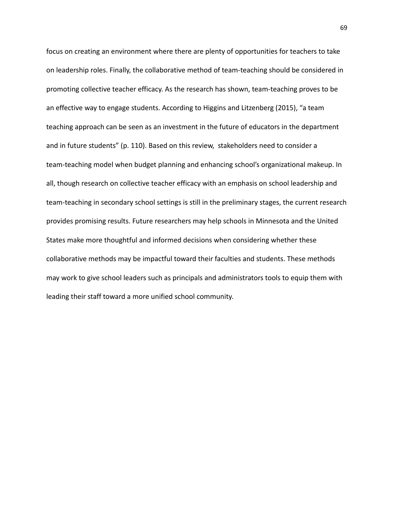focus on creating an environment where there are plenty of opportunities for teachers to take on leadership roles. Finally, the collaborative method of team-teaching should be considered in promoting collective teacher efficacy. As the research has shown, team-teaching proves to be an effective way to engage students. According to Higgins and Litzenberg (2015), "a team teaching approach can be seen as an investment in the future of educators in the department and in future students" (p. 110). Based on this review, stakeholders need to consider a team-teaching model when budget planning and enhancing school's organizational makeup. In all, though research on collective teacher efficacy with an emphasis on school leadership and team-teaching in secondary school settings is still in the preliminary stages, the current research provides promising results. Future researchers may help schools in Minnesota and the United States make more thoughtful and informed decisions when considering whether these collaborative methods may be impactful toward their faculties and students. These methods may work to give school leaders such as principals and administrators tools to equip them with leading their staff toward a more unified school community.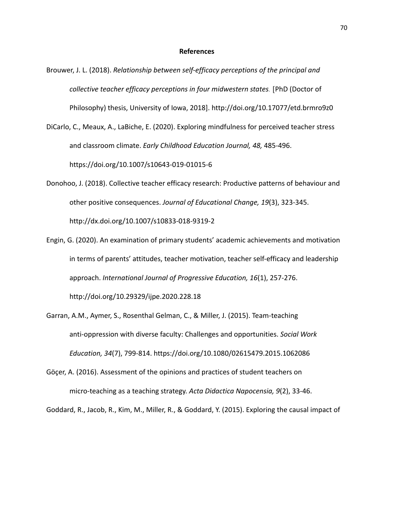#### **References**

- Brouwer, J. L. (2018). *Relationship between self-efficacy perceptions of the principal and collective teacher efficacy perceptions in four midwestern states.* [PhD (Doctor of Philosophy) thesis, University of Iowa, 2018].<http://doi.org/10.17077/etd.brmro9z0>
- DiCarlo, C., Meaux, A., LaBiche, E. (2020). Exploring mindfulness for perceived teacher stress and classroom climate. *Early Childhood Education Journal, 48,* 485-496. https://doi.org/10.1007/s10643-019-01015-6
- Donohoo, J. (2018). Collective teacher efficacy research: Productive patterns of behaviour and other positive consequences. *Journal of Educational Change, 19*(3), 323-345. <http://dx.doi.org/10.1007/s10833-018-9319-2>
- Engin, G. (2020). An examination of primary students' academic achievements and motivation in terms of parents' attitudes, teacher motivation, teacher self-efficacy and leadership approach. *International Journal of Progressive Education, 16*(1), 257-276. http://doi.org/10.29329/ijpe.2020.228.18

Garran, A.M., Aymer, S., Rosenthal Gelman, C., & Miller, J. (2015). Team-teaching anti-oppression with diverse faculty: Challenges and opportunities. *Social Work*

*Education, 34*(7), 799-814.<https://doi.org/10.1080/02615479.2015.1062086>

Göçer, A. (2016). Assessment of the opinions and practices of student teachers on micro-teaching as a teaching strategy. *Acta Didactica Napocensia, 9*(2), 33-46.

Goddard, R., Jacob, R., Kim, M., Miller, R., & Goddard, Y. (2015). Exploring the causal impact of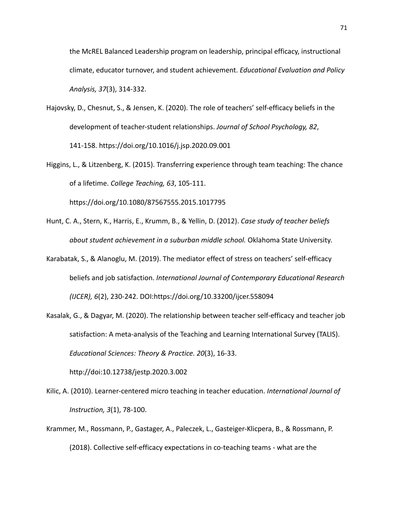the McREL Balanced Leadership program on leadership, principal efficacy, instructional climate, educator turnover, and student achievement. *Educational Evaluation and Policy Analysis, 37*(3), 314-332.

- Hajovsky, D., Chesnut, S., & Jensen, K. (2020). The role of teachers' self-efficacy beliefs in the development of teacher-student relationships. *Journal of School Psychology, 82*, 141-158. https://doi.org/10.1016/j.jsp.2020.09.001
- Higgins, L., & Litzenberg, K. (2015). Transferring experience through team teaching: The chance of a lifetime. *College Teaching, 63*, 105-111.

https://doi.org/10.1080/87567555.2015.1017795

- Hunt, C. A., Stern, K., Harris, E., Krumm, B., & Yellin, D. (2012). *Case study of teacher beliefs about student achievement in a suburban middle school.* Oklahoma State University.
- Karabatak, S., & Alanoglu, M. (2019). The mediator effect of stress on teachers' self-efficacy beliefs and job satisfaction. *International Journal of Contemporary Educational Research (IJCER), 6*(2), 230-242. DOI:https://doi.org/10.33200/ijcer.558094
- Kasalak, G., & Dagyar, M. (2020). The relationship between teacher self-efficacy and teacher job satisfaction: A meta-analysis of the Teaching and Learning International Survey (TALIS). *Educational Sciences: Theory & Practice. 20*(3), 16-33.

http://doi:10.12738/jestp.2020.3.002

- Kilic, A. (2010). Learner-centered micro teaching in teacher education. *International Journal of Instruction, 3*(1), 78-100.
- Krammer, M., Rossmann, P., Gastager, A., Paleczek, L., Gasteiger-Klicpera, B., & Rossmann, P. (2018). Collective self-efficacy expectations in co-teaching teams - what are the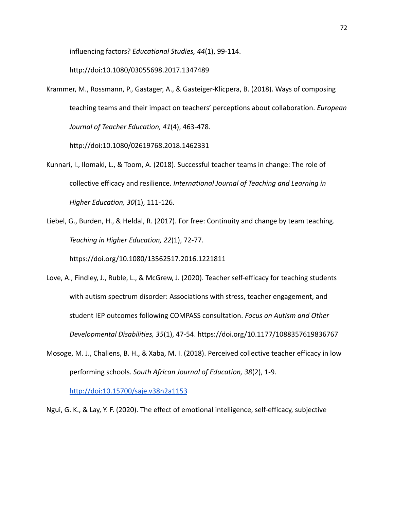influencing factors? *Educational Studies, 44*(1), 99-114.

http://doi:10.1080/03055698.2017.1347489

Krammer, M., Rossmann, P., Gastager, A., & Gasteiger-Klicpera, B. (2018). Ways of composing teaching teams and their impact on teachers' perceptions about collaboration. *European Journal of Teacher Education, 41*(4), 463-478.

http://doi:10.1080/02619768.2018.1462331

- Kunnari, I., Ilomaki, L., & Toom, A. (2018). Successful teacher teams in change: The role of collective efficacy and resilience. *International Journal of Teaching and Learning in Higher Education, 30*(1), 111-126.
- Liebel, G., Burden, H., & Heldal, R. (2017). For free: Continuity and change by team teaching. *Teaching in Higher Education, 22*(1), 72-77.

https://doi.org/10.1080/13562517.2016.1221811

- Love, A., Findley, J., Ruble, L., & McGrew, J. (2020). Teacher self-efficacy for teaching students with autism spectrum disorder: Associations with stress, teacher engagement, and student IEP outcomes following COMPASS consultation. *Focus on Autism and Other Developmental Disabilities, 35*(1), 47-54. https://doi.org/10.1177/1088357619836767
- Mosoge, M. J., Challens, B. H., & Xaba, M. I. (2018). Perceived collective teacher efficacy in low performing schools. *South African Journal of Education, 38*(2), 1-9.

http://doi:10.15700/saje.v38n2a1153

Ngui, G. K., & Lay, Y. F. (2020). The effect of emotional intelligence, self-efficacy, subjective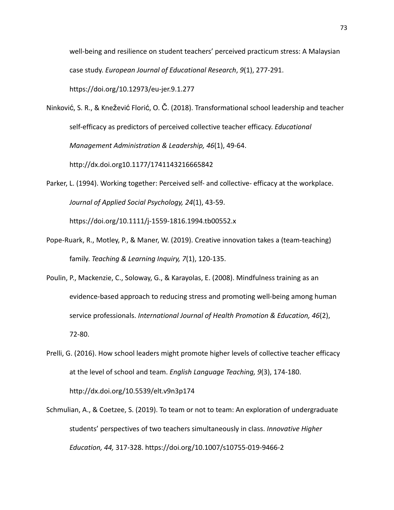well-being and resilience on student teachers' perceived practicum stress: A Malaysian case study. *European Journal of Educational Research*, *9*(1), 277-291.

https://doi.org/10.12973/eu-jer.9.1.277

Ninković, S. R., & Knežević Florić, O. Č. (2018). Transformational school leadership and teacher self-efficacy as predictors of perceived collective teacher efficacy. *Educational Management Administration & Leadership, 46*(1), 49-64.

http://dx.doi.org10.1177/1741143216665842

- Parker, L. (1994). Working together: Perceived self- and collective- efficacy at the workplace. *Journal of Applied Social Psychology, 24*(1), 43-59. https://doi.org/10.1111/j-1559-1816.1994.tb00552.x
- Pope-Ruark, R., Motley, P., & Maner, W. (2019). Creative innovation takes a (team-teaching) family. *Teaching & Learning Inquiry, 7*(1), 120-135.
- Poulin, P., Mackenzie, C., Soloway, G., & Karayolas, E. (2008). Mindfulness training as an evidence-based approach to reducing stress and promoting well-being among human service professionals. *International Journal of Health Promotion & Education, 46*(2), 72-80.
- Prelli, G. (2016). How school leaders might promote higher levels of collective teacher efficacy at the level of school and team. *English Language Teaching, 9*(3), 174-180. http://dx.doi.org/10.5539/elt.v9n3p174
- Schmulian, A., & Coetzee, S. (2019). To team or not to team: An exploration of undergraduate students' perspectives of two teachers simultaneously in class. *Innovative Higher Education, 44,* 317-328. https://doi.org/10.1007/s10755-019-9466-2